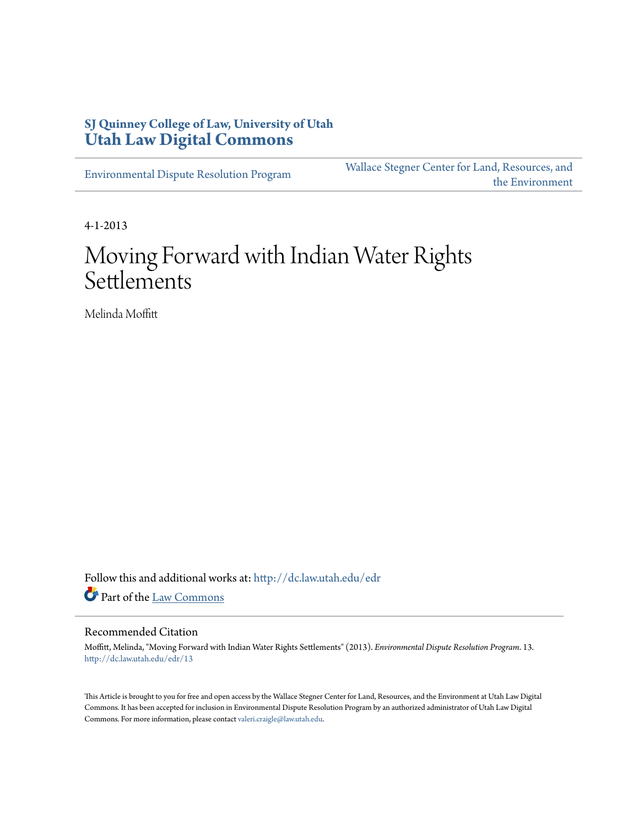# **SJ Quinney College of Law, University of Utah [Utah Law Digital Commons](http://dc.law.utah.edu?utm_source=dc.law.utah.edu%2Fedr%2F13&utm_medium=PDF&utm_campaign=PDFCoverPages)**

[Environmental Dispute Resolution Program](http://dc.law.utah.edu/edr?utm_source=dc.law.utah.edu%2Fedr%2F13&utm_medium=PDF&utm_campaign=PDFCoverPages)

[Wallace Stegner Center for Land, Resources, and](http://dc.law.utah.edu/stegner?utm_source=dc.law.utah.edu%2Fedr%2F13&utm_medium=PDF&utm_campaign=PDFCoverPages) [the Environment](http://dc.law.utah.edu/stegner?utm_source=dc.law.utah.edu%2Fedr%2F13&utm_medium=PDF&utm_campaign=PDFCoverPages)

4-1-2013

# Moving Forward with Indian Water Rights Settlements

Melinda Moffitt

Follow this and additional works at: [http://dc.law.utah.edu/edr](http://dc.law.utah.edu/edr?utm_source=dc.law.utah.edu%2Fedr%2F13&utm_medium=PDF&utm_campaign=PDFCoverPages) Part of the [Law Commons](http://network.bepress.com/hgg/discipline/578?utm_source=dc.law.utah.edu%2Fedr%2F13&utm_medium=PDF&utm_campaign=PDFCoverPages)

#### Recommended Citation

Moffitt, Melinda, "Moving Forward with Indian Water Rights Settlements" (2013). *Environmental Dispute Resolution Program*. 13. [http://dc.law.utah.edu/edr/13](http://dc.law.utah.edu/edr/13?utm_source=dc.law.utah.edu%2Fedr%2F13&utm_medium=PDF&utm_campaign=PDFCoverPages)

This Article is brought to you for free and open access by the Wallace Stegner Center for Land, Resources, and the Environment at Utah Law Digital Commons. It has been accepted for inclusion in Environmental Dispute Resolution Program by an authorized administrator of Utah Law Digital Commons. For more information, please contact [valeri.craigle@law.utah.edu](mailto:valeri.craigle@law.utah.edu).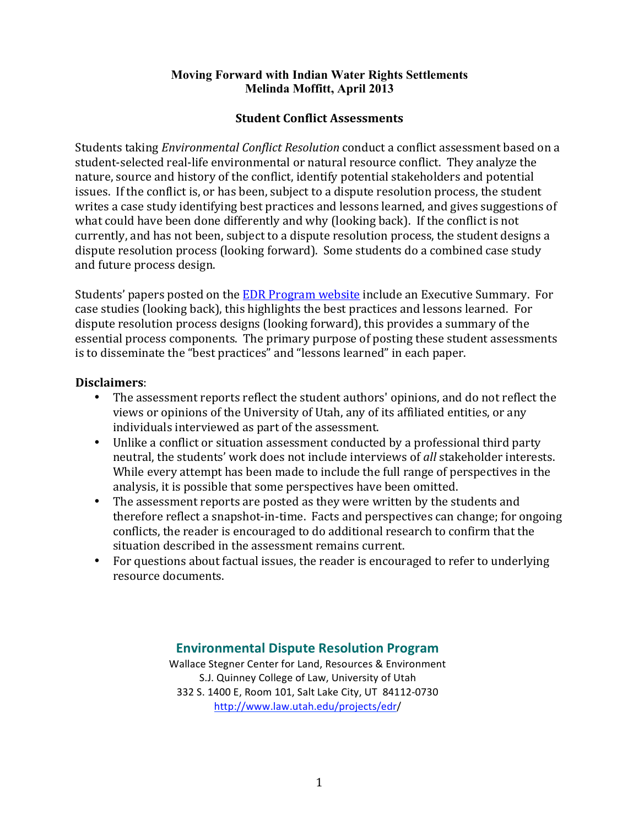# **Student Conflict Assessments**

Students taking *Environmental Conflict Resolution* conduct a conflict assessment based on a student-selected real-life environmental or natural resource conflict. They analyze the nature, source and history of the conflict, identify potential stakeholders and potential issues. If the conflict is, or has been, subject to a dispute resolution process, the student writes a case study identifying best practices and lessons learned, and gives suggestions of what could have been done differently and why (looking back). If the conflict is not currently, and has not been, subject to a dispute resolution process, the student designs a dispute resolution process (looking forward). Some students do a combined case study and future process design.

Students' papers posted on the EDR Program website include an Executive Summary. For case studies (looking back), this highlights the best practices and lessons learned. For dispute resolution process designs (looking forward), this provides a summary of the essential process components. The primary purpose of posting these student assessments is to disseminate the "best practices" and "lessons learned" in each paper.

# **Disclaimers**:

- The assessment reports reflect the student authors' opinions, and do not reflect the views or opinions of the University of Utah, any of its affiliated entities, or any individuals interviewed as part of the assessment.
- Unlike a conflict or situation assessment conducted by a professional third party neutral, the students' work does not include interviews of all stakeholder interests. While every attempt has been made to include the full range of perspectives in the analysis, it is possible that some perspectives have been omitted.
- The assessment reports are posted as they were written by the students and therefore reflect a snapshot-in-time. Facts and perspectives can change; for ongoing conflicts, the reader is encouraged to do additional research to confirm that the situation described in the assessment remains current.
- For questions about factual issues, the reader is encouraged to refer to underlying resource documents.

# **Environmental Dispute Resolution Program**

Wallace Stegner Center for Land, Resources & Environment S.J. Quinney College of Law, University of Utah 332 S. 1400 E, Room 101, Salt Lake City, UT 84112-0730 http://www.law.utah.edu/projects/edr/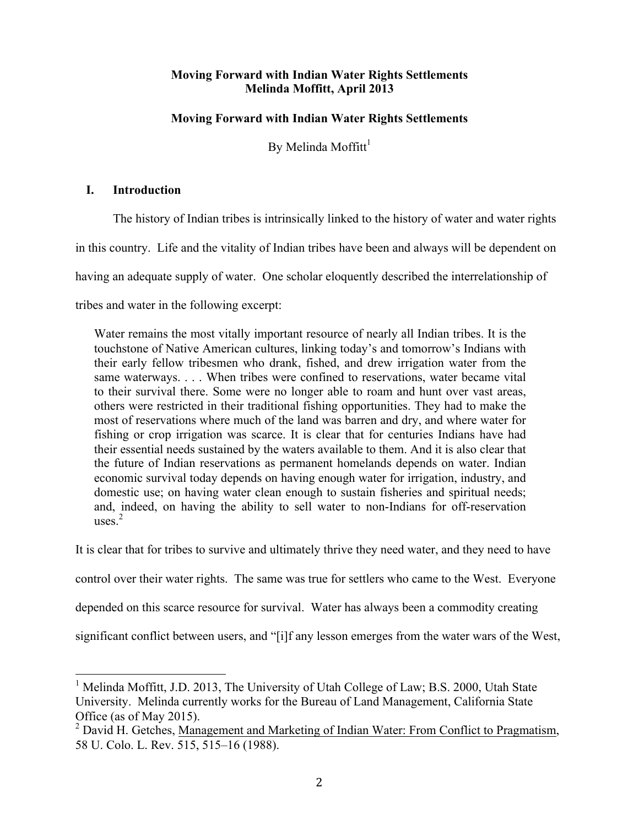# **Moving Forward with Indian Water Rights Settlements**

By Melinda Moffitt $<sup>1</sup>$ </sup>

# **I. Introduction**

The history of Indian tribes is intrinsically linked to the history of water and water rights in this country. Life and the vitality of Indian tribes have been and always will be dependent on having an adequate supply of water. One scholar eloquently described the interrelationship of tribes and water in the following excerpt:

Water remains the most vitally important resource of nearly all Indian tribes. It is the touchstone of Native American cultures, linking today's and tomorrow's Indians with their early fellow tribesmen who drank, fished, and drew irrigation water from the same waterways. . . . When tribes were confined to reservations, water became vital to their survival there. Some were no longer able to roam and hunt over vast areas, others were restricted in their traditional fishing opportunities. They had to make the most of reservations where much of the land was barren and dry, and where water for fishing or crop irrigation was scarce. It is clear that for centuries Indians have had their essential needs sustained by the waters available to them. And it is also clear that the future of Indian reservations as permanent homelands depends on water. Indian economic survival today depends on having enough water for irrigation, industry, and domestic use; on having water clean enough to sustain fisheries and spiritual needs; and, indeed, on having the ability to sell water to non-Indians for off-reservation uses $<sup>2</sup>$ </sup>

It is clear that for tribes to survive and ultimately thrive they need water, and they need to have

control over their water rights. The same was true for settlers who came to the West. Everyone

depended on this scarce resource for survival. Water has always been a commodity creating

significant conflict between users, and "[i]f any lesson emerges from the water wars of the West,

<sup>&</sup>lt;sup>1</sup> Melinda Moffitt, J.D. 2013, The University of Utah College of Law; B.S. 2000, Utah State University. Melinda currently works for the Bureau of Land Management, California State Office (as of May 2015).

<sup>&</sup>lt;sup>2</sup> David H. Getches, Management and Marketing of Indian Water: From Conflict to Pragmatism, 58 U. Colo. L. Rev. 515, 515–16 (1988).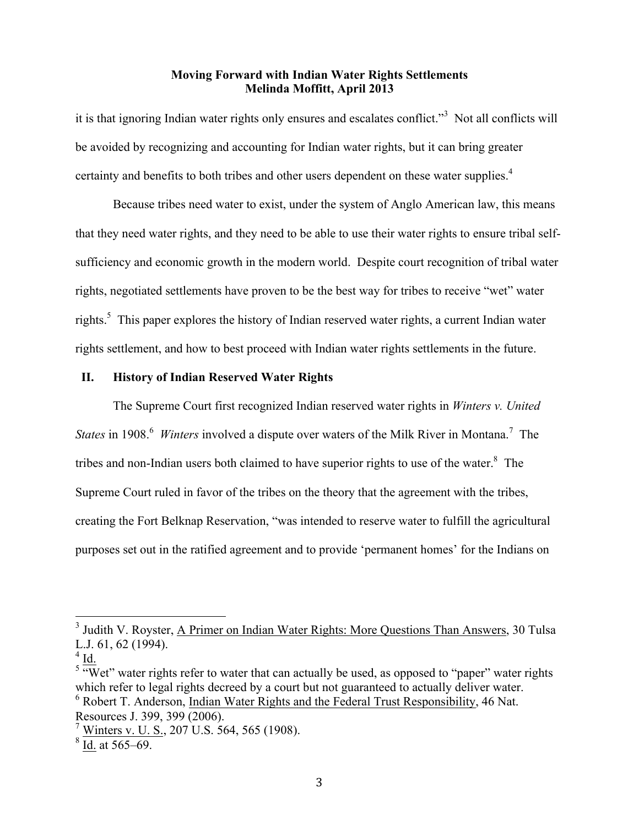it is that ignoring Indian water rights only ensures and escalates conflict."<sup>3</sup> Not all conflicts will be avoided by recognizing and accounting for Indian water rights, but it can bring greater certainty and benefits to both tribes and other users dependent on these water supplies.<sup>4</sup>

Because tribes need water to exist, under the system of Anglo American law, this means that they need water rights, and they need to be able to use their water rights to ensure tribal selfsufficiency and economic growth in the modern world. Despite court recognition of tribal water rights, negotiated settlements have proven to be the best way for tribes to receive "wet" water rights.<sup>5</sup> This paper explores the history of Indian reserved water rights, a current Indian water rights settlement, and how to best proceed with Indian water rights settlements in the future.

#### **II. History of Indian Reserved Water Rights**

The Supreme Court first recognized Indian reserved water rights in *Winters v. United States* in 1908.<sup>6</sup> *Winters* involved a dispute over waters of the Milk River in Montana.<sup>7</sup> The tribes and non-Indian users both claimed to have superior rights to use of the water. $8$  The Supreme Court ruled in favor of the tribes on the theory that the agreement with the tribes, creating the Fort Belknap Reservation, "was intended to reserve water to fulfill the agricultural purposes set out in the ratified agreement and to provide 'permanent homes' for the Indians on

<sup>&</sup>lt;sup>3</sup> Judith V. Royster, A Primer on Indian Water Rights: More Questions Than Answers, 30 Tulsa L.J. 61, 62 (1994).

 $4$  Id.

 $5 \frac{\text{W}}{\text{W}}$ et" water rights refer to water that can actually be used, as opposed to "paper" water rights which refer to legal rights decreed by a court but not guaranteed to actually deliver water. <sup>6</sup> Robert T. Anderson, Indian Water Rights and the Federal Trust Responsibility, 46 Nat. Resources J. 399, 399 (2006).

 $^7$  Winters v. U. S., 207 U.S. 564, 565 (1908).

 $8$  Id. at 565–69.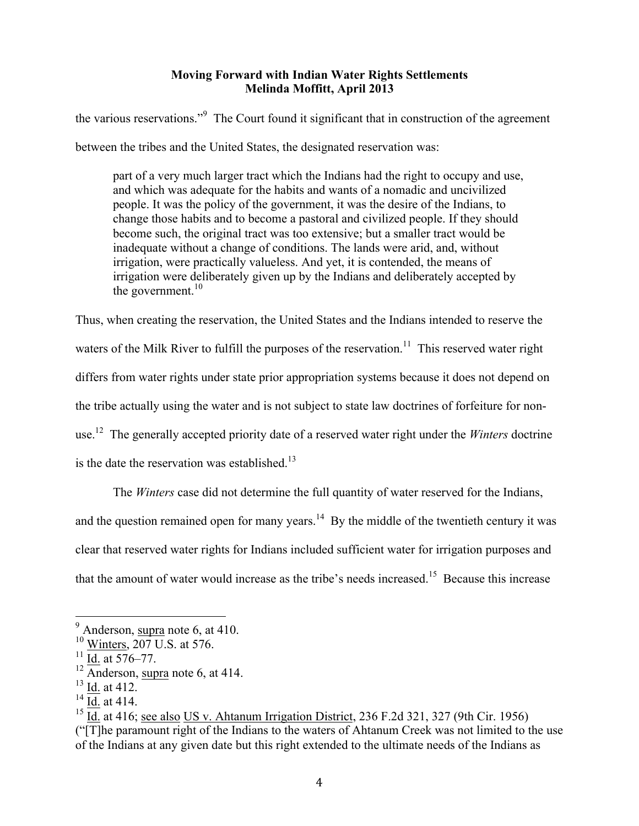the various reservations."<sup>9</sup> The Court found it significant that in construction of the agreement between the tribes and the United States, the designated reservation was:

part of a very much larger tract which the Indians had the right to occupy and use, and which was adequate for the habits and wants of a nomadic and uncivilized people. It was the policy of the government, it was the desire of the Indians, to change those habits and to become a pastoral and civilized people. If they should become such, the original tract was too extensive; but a smaller tract would be inadequate without a change of conditions. The lands were arid, and, without irrigation, were practically valueless. And yet, it is contended, the means of irrigation were deliberately given up by the Indians and deliberately accepted by the government. $10$ 

Thus, when creating the reservation, the United States and the Indians intended to reserve the waters of the Milk River to fulfill the purposes of the reservation.<sup>11</sup> This reserved water right differs from water rights under state prior appropriation systems because it does not depend on the tribe actually using the water and is not subject to state law doctrines of forfeiture for nonuse.12 The generally accepted priority date of a reserved water right under the *Winters* doctrine is the date the reservation was established. $^{13}$ 

The *Winters* case did not determine the full quantity of water reserved for the Indians, and the question remained open for many years.<sup>14</sup> By the middle of the twentieth century it was clear that reserved water rights for Indians included sufficient water for irrigation purposes and that the amount of water would increase as the tribe's needs increased.15 Because this increase

 $<sup>9</sup>$  Anderson, supra note 6, at 410.</sup>

<sup>&</sup>lt;sup>10</sup> Winters, 207 U.S. at 576.

 $^{11}$  Id. at 576–77.

 $12 \overline{\text{Anderson}}$ , supra note 6, at 414.

 $^{13}$  Id. at 412.

 $14$  Id. at 414.

<sup>&</sup>lt;sup>15</sup> Id. at 416; see also US v. Ahtanum Irrigation District,  $236$  F.2d  $321$ ,  $327$  (9th Cir. 1956) ("[T]he paramount right of the Indians to the waters of Ahtanum Creek was not limited to the use of the Indians at any given date but this right extended to the ultimate needs of the Indians as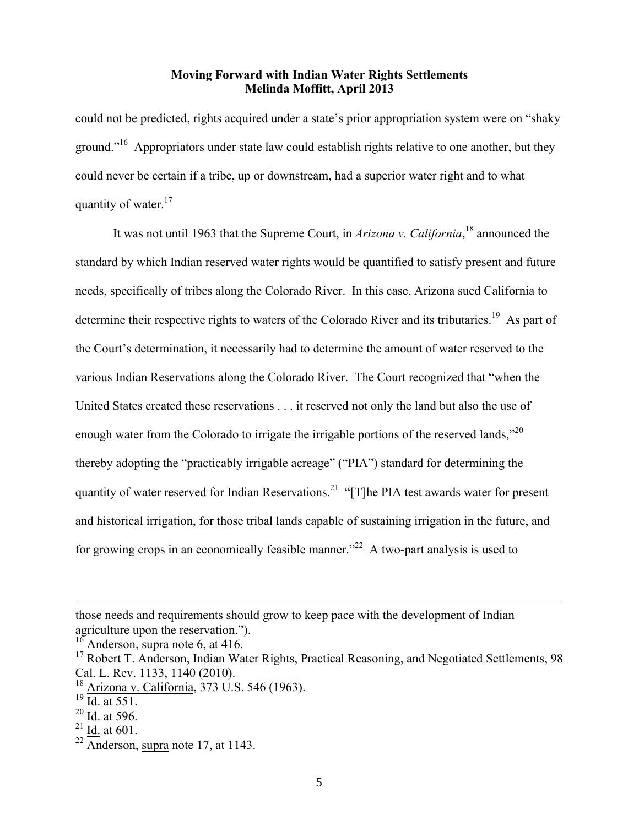could not be predicted, rights acquired under a state's prior appropriation system were on "shaky ground."<sup>16</sup> Appropriators under state law could establish rights relative to one another, but they could never be certain if a tribe, up or downstream, had a superior water right and to what quantity of water. $17$ 

It was not until 1963 that the Supreme Court, in *Arizona v. California*, <sup>18</sup> announced the standard by which Indian reserved water rights would be quantified to satisfy present and future needs, specifically of tribes along the Colorado River. In this case, Arizona sued California to determine their respective rights to waters of the Colorado River and its tributaries.<sup>19</sup> As part of the Court's determination, it necessarily had to determine the amount of water reserved to the various Indian Reservations along the Colorado River. The Court recognized that "when the United States created these reservations . . . it reserved not only the land but also the use of enough water from the Colorado to irrigate the irrigable portions of the reserved lands."<sup>20</sup> thereby adopting the "practicably irrigable acreage" ("PIA") standard for determining the quantity of water reserved for Indian Reservations.<sup>21</sup> "[T]he PIA test awards water for present and historical irrigation, for those tribal lands capable of sustaining irrigation in the future, and for growing crops in an economically feasible manner.<sup> $22$ </sup> A two-part analysis is used to

<u> Alexandro de la contrada de la contrada de la contrada de la contrada de la contrada de la contrada de la co</u>

 $^{21}$  Id. at 601.

those needs and requirements should grow to keep pace with the development of Indian agriculture upon the reservation.").  $\frac{16}{16}$  Anderson, supra note 6, at 416.

 $17$  Robert T. Anderson, Indian Water Rights, Practical Reasoning, and Negotiated Settlements, 98 Cal. L. Rev. 1133, 1140 (2010).

<sup>18</sup> Arizona v. California, 373 U.S. 546 (1963).

 $^{19}$  Id. at 551.

 $20$  Id. at 596.

 $22 \overline{\text{Anderson}}$ , supra note 17, at 1143.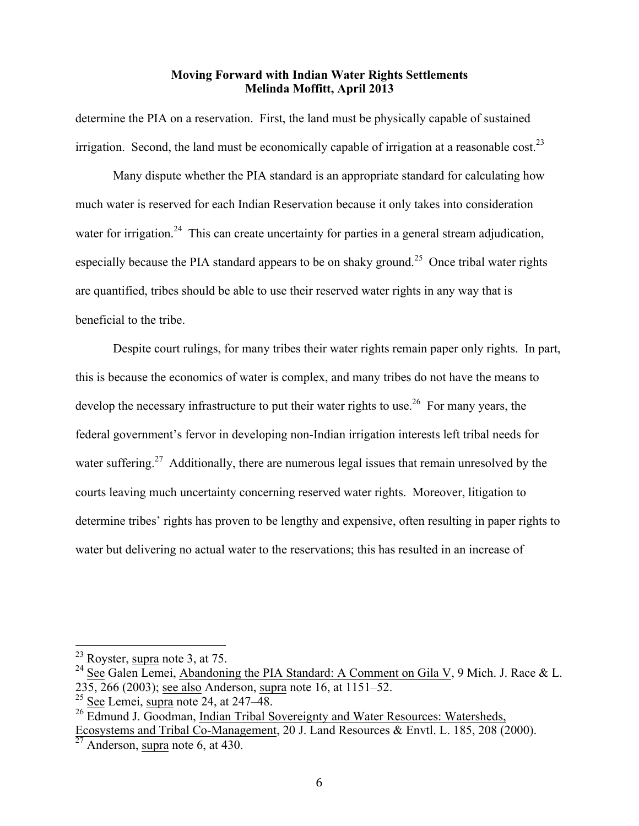determine the PIA on a reservation. First, the land must be physically capable of sustained irrigation. Second, the land must be economically capable of irrigation at a reasonable cost.<sup>23</sup>

Many dispute whether the PIA standard is an appropriate standard for calculating how much water is reserved for each Indian Reservation because it only takes into consideration water for irrigation.<sup>24</sup> This can create uncertainty for parties in a general stream adjudication, especially because the PIA standard appears to be on shaky ground.<sup>25</sup> Once tribal water rights are quantified, tribes should be able to use their reserved water rights in any way that is beneficial to the tribe.

Despite court rulings, for many tribes their water rights remain paper only rights. In part, this is because the economics of water is complex, and many tribes do not have the means to develop the necessary infrastructure to put their water rights to use.<sup>26</sup> For many years, the federal government's fervor in developing non-Indian irrigation interests left tribal needs for water suffering.<sup>27</sup> Additionally, there are numerous legal issues that remain unresolved by the courts leaving much uncertainty concerning reserved water rights. Moreover, litigation to determine tribes' rights has proven to be lengthy and expensive, often resulting in paper rights to water but delivering no actual water to the reservations; this has resulted in an increase of

 $23$  Royster, supra note 3, at 75.

<sup>&</sup>lt;sup>24</sup> See Galen Lemei, Abandoning the PIA Standard: A Comment on Gila V, 9 Mich. J. Race & L. 235, 266 (2003); see also Anderson, supra note 16, at 1151–52.

 $25$  See Lemei, supra note 24, at 247–48.

 $26$  Edmund J. Goodman, Indian Tribal Sovereignty and Water Resources: Watersheds, Ecosystems and Tribal Co-Management, 20 J. Land Resources & Envtl. L. 185, 208 (2000).

 $\frac{2000 \text{ J} \cdot \text{m}}{27 \text{ Anderson, }\text{supra}}$  note 6, at 430.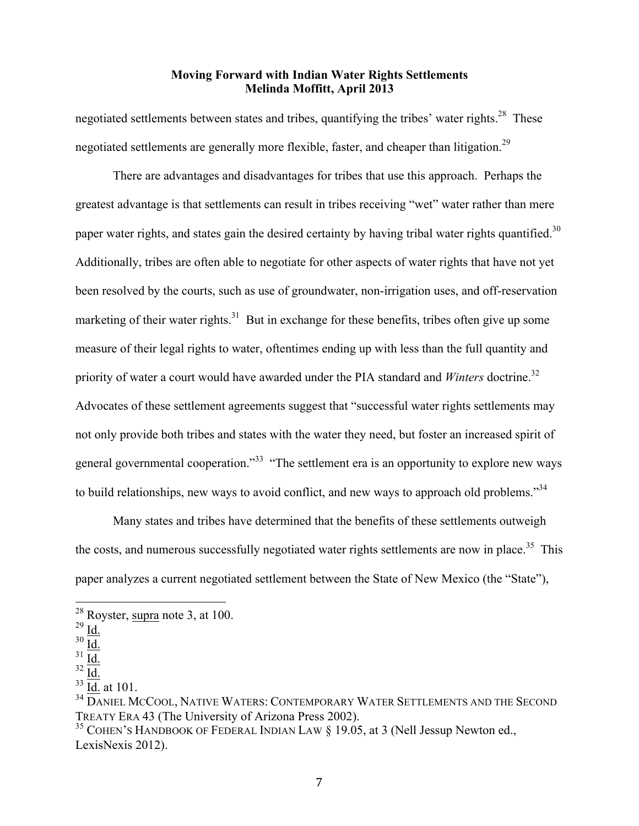negotiated settlements between states and tribes, quantifying the tribes' water rights.<sup>28</sup> These negotiated settlements are generally more flexible, faster, and cheaper than litigation.<sup>29</sup>

There are advantages and disadvantages for tribes that use this approach. Perhaps the greatest advantage is that settlements can result in tribes receiving "wet" water rather than mere paper water rights, and states gain the desired certainty by having tribal water rights quantified.<sup>30</sup> Additionally, tribes are often able to negotiate for other aspects of water rights that have not yet been resolved by the courts, such as use of groundwater, non-irrigation uses, and off-reservation marketing of their water rights.<sup>31</sup> But in exchange for these benefits, tribes often give up some measure of their legal rights to water, oftentimes ending up with less than the full quantity and priority of water a court would have awarded under the PIA standard and *Winters* doctrine.<sup>32</sup> Advocates of these settlement agreements suggest that "successful water rights settlements may not only provide both tribes and states with the water they need, but foster an increased spirit of general governmental cooperation."<sup>33</sup> "The settlement era is an opportunity to explore new ways to build relationships, new ways to avoid conflict, and new ways to approach old problems."<sup>34</sup>

Many states and tribes have determined that the benefits of these settlements outweigh the costs, and numerous successfully negotiated water rights settlements are now in place.<sup>35</sup> This paper analyzes a current negotiated settlement between the State of New Mexico (the "State"),

 <sup>28</sup> Royster, supra note 3, at 100.

 $^{29}$  Id.

 $rac{30}{31}$   $rac{Id}{IA}$ 

Id.

 $32 \underline{\underline{Id.}}$ 

 $33$  Id. at 101.

<sup>&</sup>lt;sup>34</sup> DANIEL MCCOOL, NATIVE WATERS: CONTEMPORARY WATER SETTLEMENTS AND THE SECOND TREATY ERA 43 (The University of Arizona Press 2002).

<sup>&</sup>lt;sup>35</sup> COHEN'S HANDBOOK OF FEDERAL INDIAN LAW § 19.05, at 3 (Nell Jessup Newton ed., LexisNexis 2012).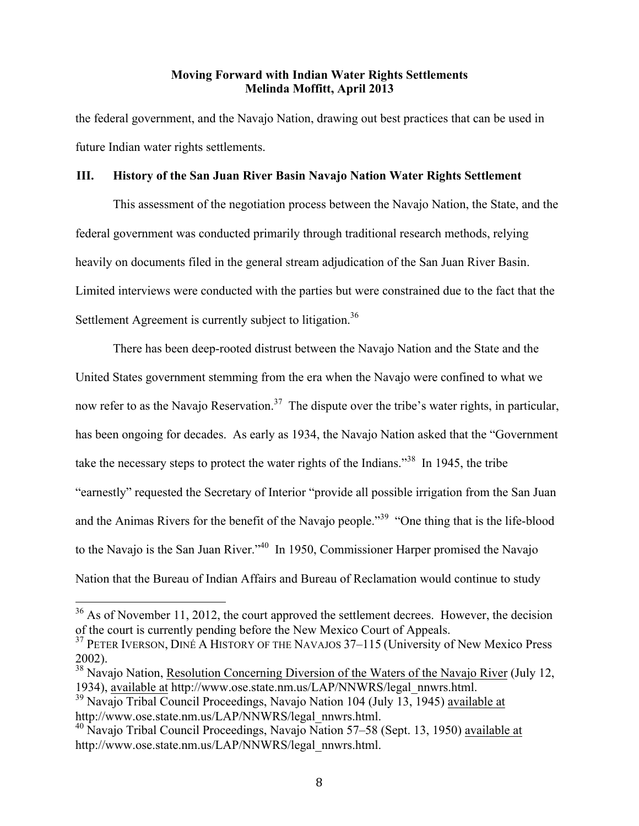the federal government, and the Navajo Nation, drawing out best practices that can be used in future Indian water rights settlements.

#### **III. History of the San Juan River Basin Navajo Nation Water Rights Settlement**

This assessment of the negotiation process between the Navajo Nation, the State, and the federal government was conducted primarily through traditional research methods, relying heavily on documents filed in the general stream adjudication of the San Juan River Basin. Limited interviews were conducted with the parties but were constrained due to the fact that the Settlement Agreement is currently subject to litigation.<sup>36</sup>

There has been deep-rooted distrust between the Navajo Nation and the State and the United States government stemming from the era when the Navajo were confined to what we now refer to as the Navajo Reservation.<sup>37</sup> The dispute over the tribe's water rights, in particular, has been ongoing for decades. As early as 1934, the Navajo Nation asked that the "Government take the necessary steps to protect the water rights of the Indians."38 In 1945, the tribe "earnestly" requested the Secretary of Interior "provide all possible irrigation from the San Juan and the Animas Rivers for the benefit of the Navajo people."<sup>39</sup> "One thing that is the life-blood to the Navajo is the San Juan River."<sup>40</sup> In 1950, Commissioner Harper promised the Navajo Nation that the Bureau of Indian Affairs and Bureau of Reclamation would continue to study

 $36$  As of November 11, 2012, the court approved the settlement decrees. However, the decision of the court is currently pending before the New Mexico Court of Appeals.

<sup>&</sup>lt;sup>37</sup> PETER IVERSON, DINÉ A HISTORY OF THE NAVAJOS 37–115 (University of New Mexico Press 2002).

<sup>&</sup>lt;sup>38</sup> Navajo Nation, Resolution Concerning Diversion of the Waters of the Navajo River (July 12, 1934), available at http://www.ose.state.nm.us/LAP/NNWRS/legal\_nnwrs.html.

<sup>&</sup>lt;sup>39</sup> Navajo Tribal Council Proceedings, Navajo Nation 104 (July 13, 1945) available at http://www.ose.state.nm.us/LAP/NNWRS/legal\_nnwrs.html.

 $40$  Navajo Tribal Council Proceedings, Navajo Nation 57–58 (Sept. 13, 1950) available at http://www.ose.state.nm.us/LAP/NNWRS/legal\_nnwrs.html.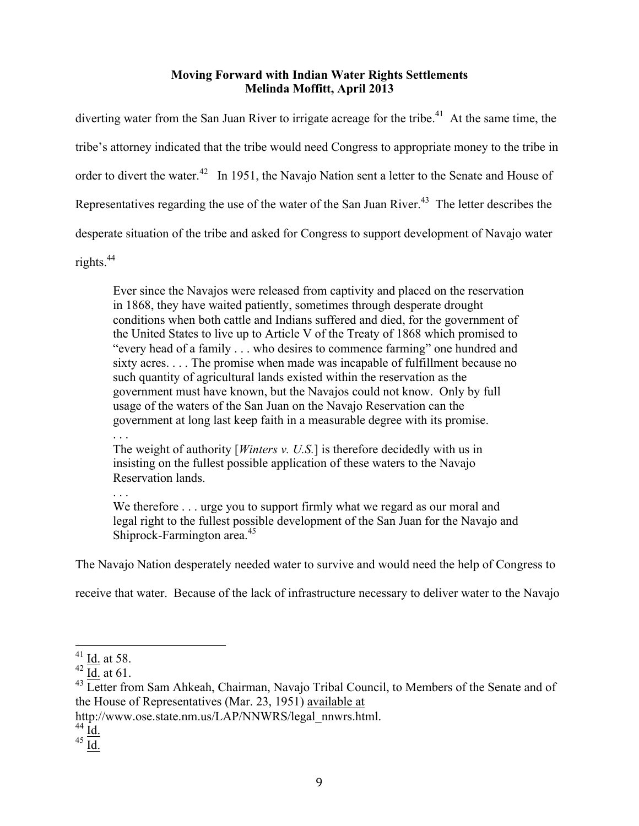diverting water from the San Juan River to irrigate acreage for the tribe.<sup>41</sup> At the same time, the tribe's attorney indicated that the tribe would need Congress to appropriate money to the tribe in order to divert the water.<sup>42</sup> In 1951, the Navajo Nation sent a letter to the Senate and House of Representatives regarding the use of the water of the San Juan River.<sup>43</sup> The letter describes the desperate situation of the tribe and asked for Congress to support development of Navajo water rights. 44

Ever since the Navajos were released from captivity and placed on the reservation in 1868, they have waited patiently, sometimes through desperate drought conditions when both cattle and Indians suffered and died, for the government of the United States to live up to Article V of the Treaty of 1868 which promised to "every head of a family . . . who desires to commence farming" one hundred and sixty acres. . . . The promise when made was incapable of fulfillment because no such quantity of agricultural lands existed within the reservation as the government must have known, but the Navajos could not know. Only by full usage of the waters of the San Juan on the Navajo Reservation can the government at long last keep faith in a measurable degree with its promise.

. . .

The weight of authority [*Winters v. U.S.*] is therefore decidedly with us in insisting on the fullest possible application of these waters to the Navajo Reservation lands.

. . .

We therefore . . . urge you to support firmly what we regard as our moral and legal right to the fullest possible development of the San Juan for the Navajo and Shiprock-Farmington area.<sup>45</sup>

The Navajo Nation desperately needed water to survive and would need the help of Congress to

receive that water. Because of the lack of infrastructure necessary to deliver water to the Navajo

http://www.ose.state.nm.us/LAP/NNWRS/legal\_nnwrs.html.

- $44 \text{ Id.}$
- $45 \underline{\overline{Id}}$ .

 $^{41}_{42}$  <u>Id.</u> at 58.<br> $^{42}$  I<u>d.</u> at 61.

<sup>&</sup>lt;sup>43</sup> Letter from Sam Ahkeah, Chairman, Navajo Tribal Council, to Members of the Senate and of the House of Representatives (Mar. 23, 1951) available at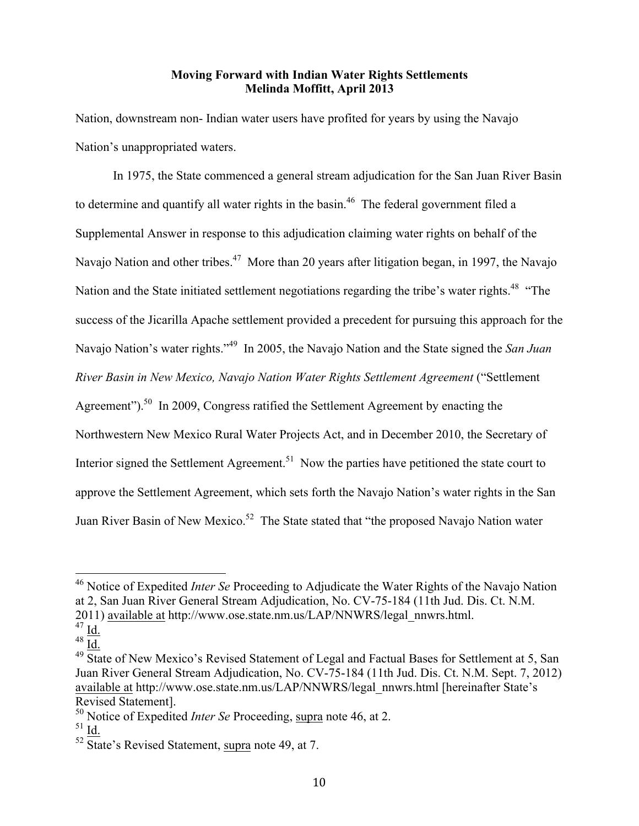Nation, downstream non- Indian water users have profited for years by using the Navajo Nation's unappropriated waters.

In 1975, the State commenced a general stream adjudication for the San Juan River Basin to determine and quantify all water rights in the basin.<sup>46</sup> The federal government filed a Supplemental Answer in response to this adjudication claiming water rights on behalf of the Navajo Nation and other tribes.<sup>47</sup> More than 20 years after litigation began, in 1997, the Navajo Nation and the State initiated settlement negotiations regarding the tribe's water rights.<sup>48</sup> "The success of the Jicarilla Apache settlement provided a precedent for pursuing this approach for the Navajo Nation's water rights." 49 In 2005, the Navajo Nation and the State signed the *San Juan River Basin in New Mexico, Navajo Nation Water Rights Settlement Agreement* ("Settlement Agreement").<sup>50</sup> In 2009, Congress ratified the Settlement Agreement by enacting the Northwestern New Mexico Rural Water Projects Act, and in December 2010, the Secretary of Interior signed the Settlement Agreement.<sup>51</sup> Now the parties have petitioned the state court to approve the Settlement Agreement, which sets forth the Navajo Nation's water rights in the San Juan River Basin of New Mexico.<sup>52</sup> The State stated that "the proposed Navajo Nation water

 <sup>46</sup> Notice of Expedited *Inter Se* Proceeding to Adjudicate the Water Rights of the Navajo Nation at 2, San Juan River General Stream Adjudication, No. CV-75-184 (11th Jud. Dis. Ct. N.M. 2011) available at http://www.ose.state.nm.us/LAP/NNWRS/legal\_nnwrs.html.

 $47$  Id.

<sup>48</sup> Id.

<sup>&</sup>lt;sup>49</sup> State of New Mexico's Revised Statement of Legal and Factual Bases for Settlement at 5, San Juan River General Stream Adjudication, No. CV-75-184 (11th Jud. Dis. Ct. N.M. Sept. 7, 2012) available at http://www.ose.state.nm.us/LAP/NNWRS/legal\_nnwrs.html [hereinafter State's Revised Statement].

<sup>50</sup> Notice of Expedited *Inter Se* Proceeding, supra note 46, at 2.

 $51$  Id.

 $52 \overline{\text{State}}$ 's Revised Statement, supra note 49, at 7.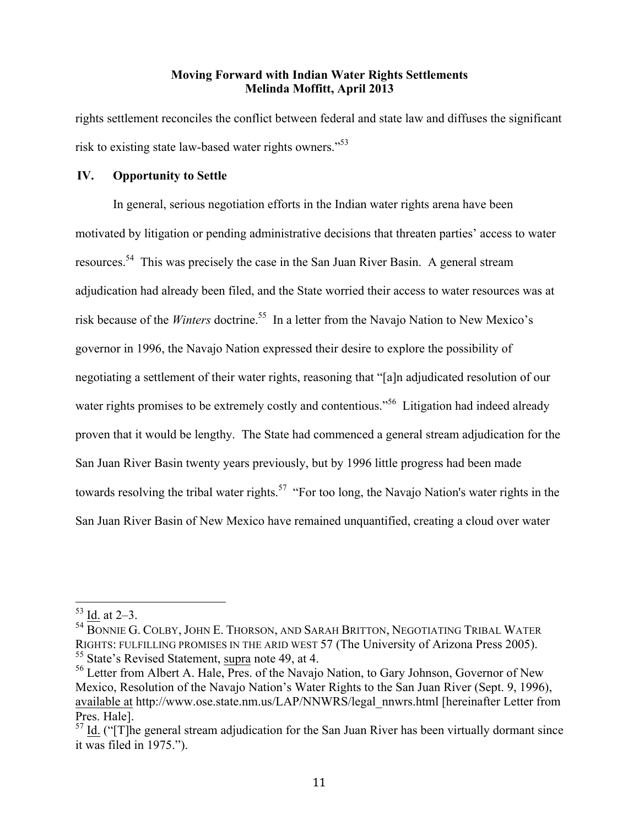rights settlement reconciles the conflict between federal and state law and diffuses the significant risk to existing state law-based water rights owners."53

#### **IV. Opportunity to Settle**

In general, serious negotiation efforts in the Indian water rights arena have been motivated by litigation or pending administrative decisions that threaten parties' access to water resources.54 This was precisely the case in the San Juan River Basin. A general stream adjudication had already been filed, and the State worried their access to water resources was at risk because of the *Winters* doctrine. 55 In a letter from the Navajo Nation to New Mexico's governor in 1996, the Navajo Nation expressed their desire to explore the possibility of negotiating a settlement of their water rights, reasoning that "[a]n adjudicated resolution of our water rights promises to be extremely costly and contentious.<sup>56</sup> Litigation had indeed already proven that it would be lengthy. The State had commenced a general stream adjudication for the San Juan River Basin twenty years previously, but by 1996 little progress had been made towards resolving the tribal water rights.<sup>57</sup> "For too long, the Navajo Nation's water rights in the San Juan River Basin of New Mexico have remained unquantified, creating a cloud over water

 $53$  Id. at 2–3.

<sup>54</sup> BONNIE G. COLBY, JOHN E. THORSON, AND SARAH BRITTON, NEGOTIATING TRIBAL WATER RIGHTS: FULFILLING PROMISES IN THE ARID WEST 57 (The University of Arizona Press 2005). <sup>55</sup> State's Revised Statement, supra note 49, at 4.

<sup>&</sup>lt;sup>56</sup> Letter from Albert A. Hale, Pres. of the Navajo Nation, to Gary Johnson, Governor of New Mexico, Resolution of the Navajo Nation's Water Rights to the San Juan River (Sept. 9, 1996), available at http://www.ose.state.nm.us/LAP/NNWRS/legal\_nnwrs.html [hereinafter Letter from Pres. Hale].

 $57$  Id. ("[T]he general stream adjudication for the San Juan River has been virtually dormant since it was filed in 1975.").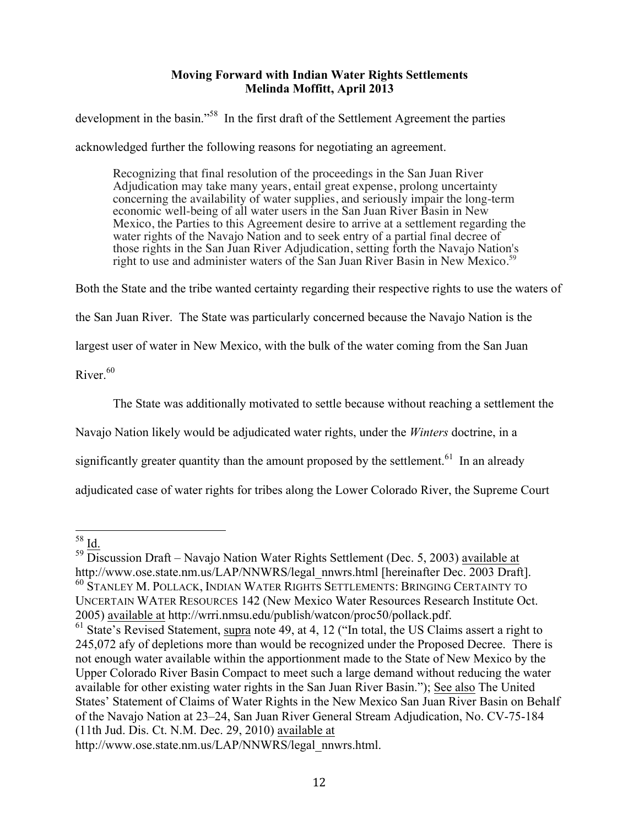development in the basin."<sup>58</sup> In the first draft of the Settlement Agreement the parties

acknowledged further the following reasons for negotiating an agreement.

Recognizing that final resolution of the proceedings in the San Juan River Adjudication may take many years, entail great expense, prolong uncertainty concerning the availability of water supplies, and seriously impair the long-term economic well-being of all water users in the San Juan River Basin in New Mexico, the Parties to this Agreement desire to arrive at a settlement regarding the water rights of the Navajo Nation and to seek entry of a partial final decree of those rights in the San Juan River Adjudication, setting forth the Navajo Nation's right to use and administer waters of the San Juan River Basin in New Mexico.<sup>59</sup>

Both the State and the tribe wanted certainty regarding their respective rights to use the waters of

the San Juan River. The State was particularly concerned because the Navajo Nation is the

largest user of water in New Mexico, with the bulk of the water coming from the San Juan

River $60$ 

The State was additionally motivated to settle because without reaching a settlement the

Navajo Nation likely would be adjudicated water rights, under the *Winters* doctrine, in a

significantly greater quantity than the amount proposed by the settlement.<sup>61</sup> In an already

adjudicated case of water rights for tribes along the Lower Colorado River, the Supreme Court

 $^{58}$  Id.

 $59$  Discussion Draft – Navajo Nation Water Rights Settlement (Dec. 5, 2003) available at http://www.ose.state.nm.us/LAP/NNWRS/legal\_nnwrs.html [hereinafter Dec. 2003 Draft]. <sup>60</sup> STANLEY M. POLLACK, INDIAN WATER RIGHTS SETTLEMENTS: BRINGING CERTAINTY TO UNCERTAIN WATER RESOURCES 142 (New Mexico Water Resources Research Institute Oct. 2005) available at http://wrri.nmsu.edu/publish/watcon/proc50/pollack.pdf.

<sup>&</sup>lt;sup>61</sup> State's Revised Statement, supra note 49, at 4, 12 ("In total, the US Claims assert a right to 245,072 afy of depletions more than would be recognized under the Proposed Decree. There is not enough water available within the apportionment made to the State of New Mexico by the Upper Colorado River Basin Compact to meet such a large demand without reducing the water available for other existing water rights in the San Juan River Basin."); See also The United States' Statement of Claims of Water Rights in the New Mexico San Juan River Basin on Behalf of the Navajo Nation at 23–24, San Juan River General Stream Adjudication, No. CV-75-184 (11th Jud. Dis. Ct. N.M. Dec. 29, 2010) available at

http://www.ose.state.nm.us/LAP/NNWRS/legal\_nnwrs.html.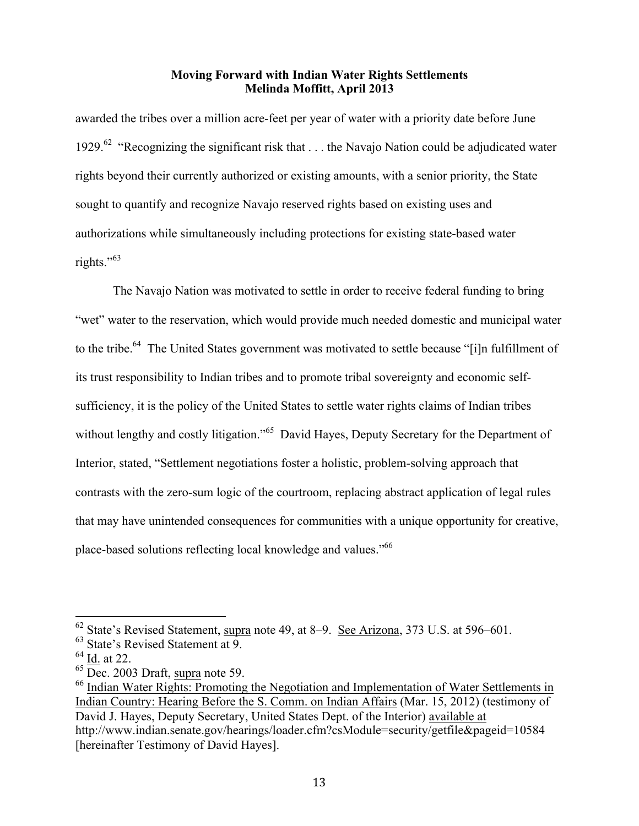awarded the tribes over a million acre-feet per year of water with a priority date before June 1929.<sup>62</sup> "Recognizing the significant risk that . . . the Navajo Nation could be adjudicated water rights beyond their currently authorized or existing amounts, with a senior priority, the State sought to quantify and recognize Navajo reserved rights based on existing uses and authorizations while simultaneously including protections for existing state-based water rights."<sup>63</sup>

The Navajo Nation was motivated to settle in order to receive federal funding to bring "wet" water to the reservation, which would provide much needed domestic and municipal water to the tribe.<sup>64</sup> The United States government was motivated to settle because "[i]n fulfillment of its trust responsibility to Indian tribes and to promote tribal sovereignty and economic selfsufficiency, it is the policy of the United States to settle water rights claims of Indian tribes without lengthy and costly litigation."<sup>65</sup> David Hayes, Deputy Secretary for the Department of Interior, stated, "Settlement negotiations foster a holistic, problem-solving approach that contrasts with the zero-sum logic of the courtroom, replacing abstract application of legal rules that may have unintended consequences for communities with a unique opportunity for creative, place-based solutions reflecting local knowledge and values."<sup>66</sup>

<sup>&</sup>lt;sup>62</sup> State's Revised Statement, supra note 49, at 8–9. <u>See Arizona</u>, 373 U.S. at 596–601.<br><sup>63</sup> State's Revised Statement at 9.

 $^{64}$  <u>Id.</u> at 22.<br><sup>65</sup> Dec. 2003 Draft, <u>supra</u> note 59.

<sup>&</sup>lt;sup>66</sup> Indian Water Rights: Promoting the Negotiation and Implementation of Water Settlements in Indian Country: Hearing Before the S. Comm. on Indian Affairs (Mar. 15, 2012) (testimony of David J. Hayes, Deputy Secretary, United States Dept. of the Interior) available at http://www.indian.senate.gov/hearings/loader.cfm?csModule=security/getfile&pageid=10584 [hereinafter Testimony of David Hayes].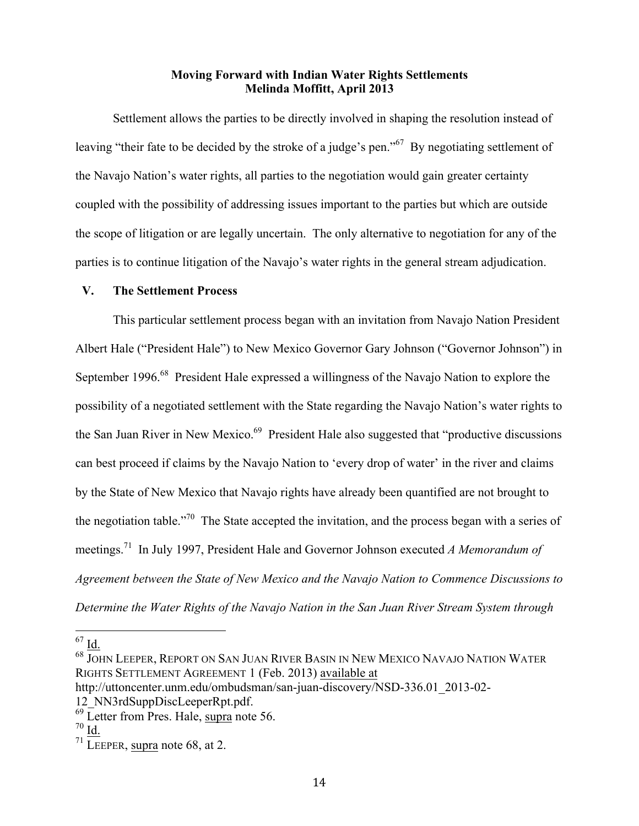Settlement allows the parties to be directly involved in shaping the resolution instead of leaving "their fate to be decided by the stroke of a judge's pen."67 By negotiating settlement of the Navajo Nation's water rights, all parties to the negotiation would gain greater certainty coupled with the possibility of addressing issues important to the parties but which are outside the scope of litigation or are legally uncertain. The only alternative to negotiation for any of the parties is to continue litigation of the Navajo's water rights in the general stream adjudication.

#### **V. The Settlement Process**

This particular settlement process began with an invitation from Navajo Nation President Albert Hale ("President Hale") to New Mexico Governor Gary Johnson ("Governor Johnson") in September 1996.<sup>68</sup> President Hale expressed a willingness of the Navajo Nation to explore the possibility of a negotiated settlement with the State regarding the Navajo Nation's water rights to the San Juan River in New Mexico.<sup>69</sup> President Hale also suggested that "productive discussions" can best proceed if claims by the Navajo Nation to 'every drop of water' in the river and claims by the State of New Mexico that Navajo rights have already been quantified are not brought to the negotiation table.<sup>"70</sup> The State accepted the invitation, and the process began with a series of meetings.71 In July 1997, President Hale and Governor Johnson executed *A Memorandum of Agreement between the State of New Mexico and the Navajo Nation to Commence Discussions to Determine the Water Rights of the Navajo Nation in the San Juan River Stream System through* 

 $\frac{67}{10}$ .

 $^{68}$  JOHN LEEPER, REPORT ON SAN JUAN RIVER BASIN IN NEW MEXICO NAVAJO NATION WATER RIGHTS SETTLEMENT AGREEMENT 1 (Feb. 2013) available at

http://uttoncenter.unm.edu/ombudsman/san-juan-discovery/NSD-336.01\_2013-02- 12\_NN3rdSuppDiscLeeperRpt.pdf.

 $^{69}$  Letter from Pres. Hale, supra note 56.<br> $^{70}$  Id.

 $71$  LEEPER, supra note 68, at 2.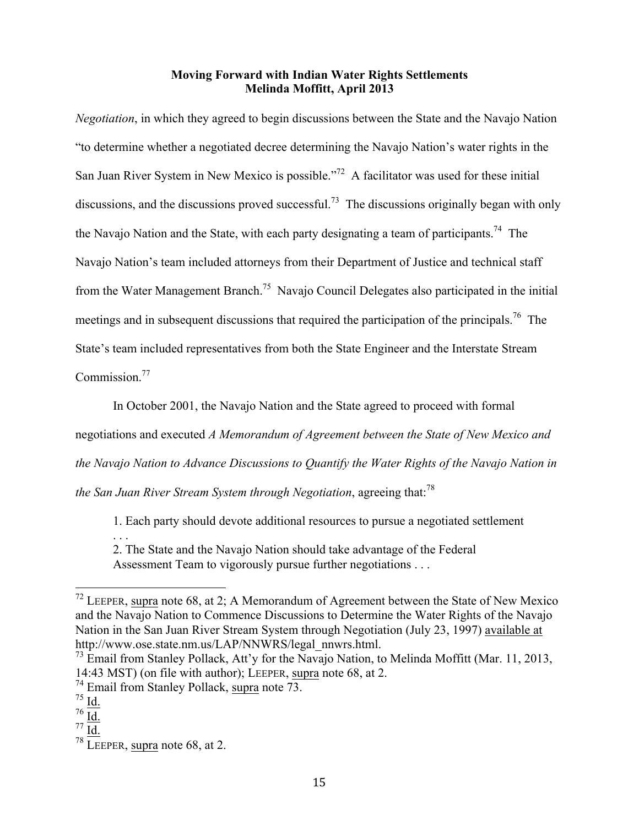*Negotiation*, in which they agreed to begin discussions between the State and the Navajo Nation "to determine whether a negotiated decree determining the Navajo Nation's water rights in the San Juan River System in New Mexico is possible."<sup>72</sup> A facilitator was used for these initial discussions, and the discussions proved successful.<sup>73</sup> The discussions originally began with only the Navajo Nation and the State, with each party designating a team of participants.<sup>74</sup> The Navajo Nation's team included attorneys from their Department of Justice and technical staff from the Water Management Branch.75 Navajo Council Delegates also participated in the initial meetings and in subsequent discussions that required the participation of the principals.<sup>76</sup> The State's team included representatives from both the State Engineer and the Interstate Stream Commission.<sup>77</sup>

In October 2001, the Navajo Nation and the State agreed to proceed with formal negotiations and executed *A Memorandum of Agreement between the State of New Mexico and the Navajo Nation to Advance Discussions to Quantify the Water Rights of the Navajo Nation in* 

*the San Juan River Stream System through Negotiation*, agreeing that:78

1. Each party should devote additional resources to pursue a negotiated settlement

. . . 2. The State and the Navajo Nation should take advantage of the Federal Assessment Team to vigorously pursue further negotiations . . .

 <sup>72</sup> LEEPER, supra note 68, at 2; A Memorandum of Agreement between the State of New Mexico and the Navajo Nation to Commence Discussions to Determine the Water Rights of the Navajo Nation in the San Juan River Stream System through Negotiation (July 23, 1997) available at http://www.ose.state.nm.us/LAP/NNWRS/legal\_nnwrs.html.

 $^{73}$  Email from Stanley Pollack, Att'y for the Navajo Nation, to Melinda Moffitt (Mar. 11, 2013, 14:43 MST) (on file with author); LEEPER, supra note 68, at 2.

 $^{74}$  Email from Stanley Pollack, supra note 73.  $^{75}$  Id.

 $76 \overline{Id}$ .

<sup>77</sup> Id.

 $78$  LEEPER, supra note 68, at 2.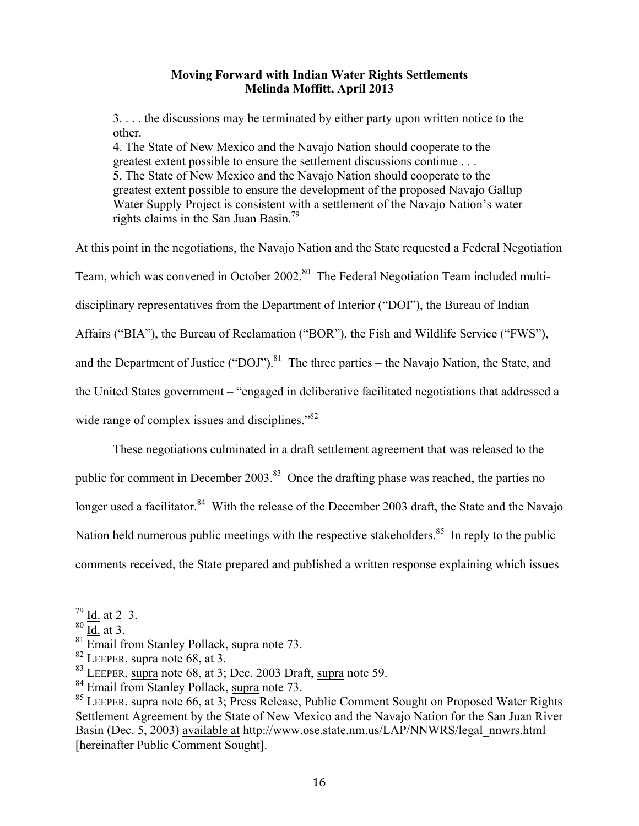3. . . . the discussions may be terminated by either party upon written notice to the other.

4. The State of New Mexico and the Navajo Nation should cooperate to the greatest extent possible to ensure the settlement discussions continue . . . 5. The State of New Mexico and the Navajo Nation should cooperate to the greatest extent possible to ensure the development of the proposed Navajo Gallup Water Supply Project is consistent with a settlement of the Navajo Nation's water rights claims in the San Juan Basin.<sup>79</sup>

At this point in the negotiations, the Navajo Nation and the State requested a Federal Negotiation Team, which was convened in October 2002.<sup>80</sup> The Federal Negotiation Team included multidisciplinary representatives from the Department of Interior ("DOI"), the Bureau of Indian Affairs ("BIA"), the Bureau of Reclamation ("BOR"), the Fish and Wildlife Service ("FWS"), and the Department of Justice ("DOJ").<sup>81</sup> The three parties – the Navajo Nation, the State, and the United States government – "engaged in deliberative facilitated negotiations that addressed a wide range of complex issues and disciplines."<sup>82</sup>

These negotiations culminated in a draft settlement agreement that was released to the public for comment in December 2003.<sup>83</sup> Once the drafting phase was reached, the parties no longer used a facilitator.<sup>84</sup> With the release of the December 2003 draft, the State and the Navajo Nation held numerous public meetings with the respective stakeholders.<sup>85</sup> In reply to the public comments received, the State prepared and published a written response explaining which issues

 $79$  Id. at  $2-3$ .

 $80 \overline{\text{Id.}}$  at 3.

<sup>&</sup>lt;sup>81</sup> Email from Stanley Pollack, supra note 73.<br><sup>82</sup> LEEPER, supra note 68, at 3.<br><sup>83</sup> LEEPER, supra note 68, at 3; Dec. 2003 Draft, supra note 59.

<sup>&</sup>lt;sup>84</sup> Email from Stanley Pollack, supra note 73.<br><sup>85</sup> LEEPER, supra note 66, at 3; Press Release, Public Comment Sought on Proposed Water Rights Settlement Agreement by the State of New Mexico and the Navajo Nation for the San Juan River Basin (Dec. 5, 2003) available at http://www.ose.state.nm.us/LAP/NNWRS/legal\_nnwrs.html [hereinafter Public Comment Sought].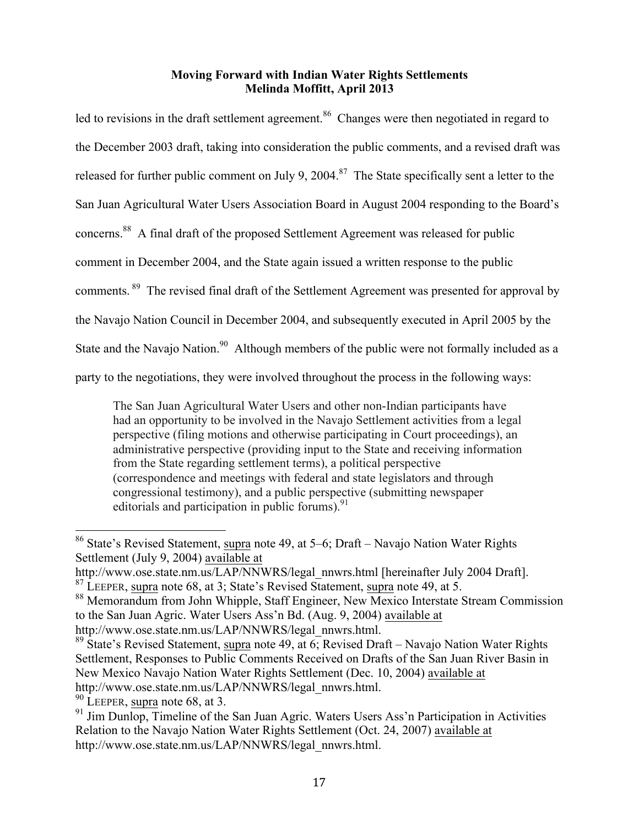led to revisions in the draft settlement agreement.<sup>86</sup> Changes were then negotiated in regard to the December 2003 draft, taking into consideration the public comments, and a revised draft was released for further public comment on July 9, 2004.<sup>87</sup> The State specifically sent a letter to the San Juan Agricultural Water Users Association Board in August 2004 responding to the Board's concerns.88 A final draft of the proposed Settlement Agreement was released for public comment in December 2004, and the State again issued a written response to the public comments. 89 The revised final draft of the Settlement Agreement was presented for approval by the Navajo Nation Council in December 2004, and subsequently executed in April 2005 by the State and the Navajo Nation.<sup>90</sup> Although members of the public were not formally included as a party to the negotiations, they were involved throughout the process in the following ways:

The San Juan Agricultural Water Users and other non-Indian participants have had an opportunity to be involved in the Navajo Settlement activities from a legal perspective (filing motions and otherwise participating in Court proceedings), an administrative perspective (providing input to the State and receiving information from the State regarding settlement terms), a political perspective (correspondence and meetings with federal and state legislators and through congressional testimony), and a public perspective (submitting newspaper editorials and participation in public forums).  $91$ 

 <sup>86</sup> State's Revised Statement, supra note 49, at 5–6; Draft – Navajo Nation Water Rights Settlement (July 9, 2004) available at

http://www.ose.state.nm.us/LAP/NNWRS/legal\_nnwrs.html [hereinafter July 2004 Draft].

<sup>87</sup> LEEPER, supra note 68, at 3; State's Revised Statement, supra note 49, at 5.

<sup>88</sup> Memorandum from John Whipple, Staff Engineer, New Mexico Interstate Stream Commission to the San Juan Agric. Water Users Ass'n Bd. (Aug. 9, 2004) available at http://www.ose.state.nm.us/LAP/NNWRS/legal\_nnwrs.html.

<sup>&</sup>lt;sup>89</sup> State's Revised Statement, supra note 49, at  $6$ ; Revised Draft – Navajo Nation Water Rights Settlement, Responses to Public Comments Received on Drafts of the San Juan River Basin in New Mexico Navajo Nation Water Rights Settlement (Dec. 10, 2004) available at http://www.ose.state.nm.us/LAP/NNWRS/legal\_nnwrs.html.

 $90$  LEEPER, supra note 68, at 3.

 $91$  Jim Dunlop, Timeline of the San Juan Agric. Waters Users Ass'n Participation in Activities Relation to the Navajo Nation Water Rights Settlement (Oct. 24, 2007) available at http://www.ose.state.nm.us/LAP/NNWRS/legal\_nnwrs.html.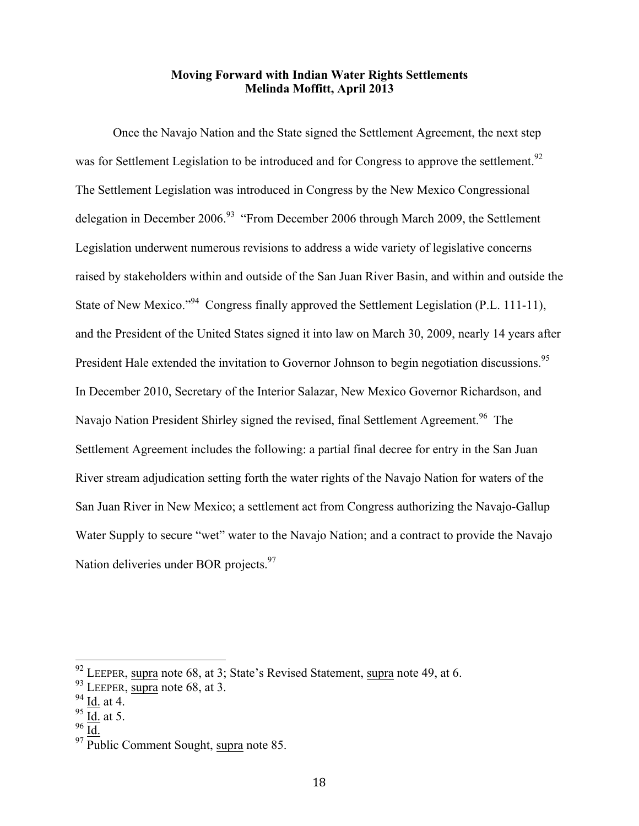Once the Navajo Nation and the State signed the Settlement Agreement, the next step was for Settlement Legislation to be introduced and for Congress to approve the settlement.<sup>92</sup> The Settlement Legislation was introduced in Congress by the New Mexico Congressional delegation in December 2006.<sup>93</sup> "From December 2006 through March 2009, the Settlement Legislation underwent numerous revisions to address a wide variety of legislative concerns raised by stakeholders within and outside of the San Juan River Basin, and within and outside the State of New Mexico."<sup>94</sup> Congress finally approved the Settlement Legislation (P.L. 111-11), and the President of the United States signed it into law on March 30, 2009, nearly 14 years after President Hale extended the invitation to Governor Johnson to begin negotiation discussions.<sup>95</sup> In December 2010, Secretary of the Interior Salazar, New Mexico Governor Richardson, and Navajo Nation President Shirley signed the revised, final Settlement Agreement.<sup>96</sup> The Settlement Agreement includes the following: a partial final decree for entry in the San Juan River stream adjudication setting forth the water rights of the Navajo Nation for waters of the San Juan River in New Mexico; a settlement act from Congress authorizing the Navajo-Gallup Water Supply to secure "wet" water to the Navajo Nation; and a contract to provide the Navajo Nation deliveries under BOR projects.<sup>97</sup>

 <sup>92</sup> LEEPER, supra note 68, at 3; State's Revised Statement, supra note 49, at 6.

 $93$  LEEPER, supra note 68, at 3.

 $94$  Id. at 4.

 $rac{95}{96}$   $\frac{\overline{Id}}{\overline{Id}}$  at 5.

 $97$  Public Comment Sought, supra note 85.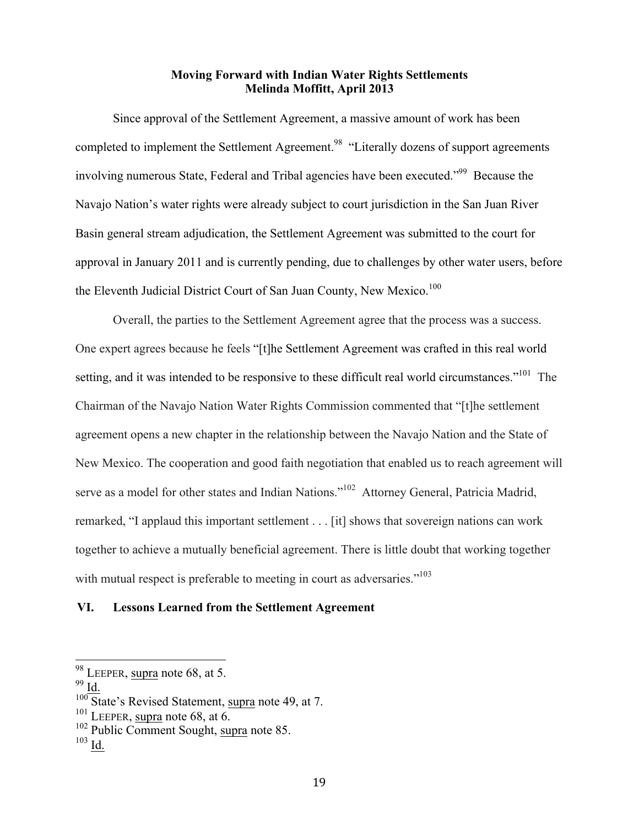Since approval of the Settlement Agreement, a massive amount of work has been completed to implement the Settlement Agreement.<sup>98</sup> "Literally dozens of support agreements involving numerous State, Federal and Tribal agencies have been executed."<sup>99</sup> Because the Navajo Nation's water rights were already subject to court jurisdiction in the San Juan River Basin general stream adjudication, the Settlement Agreement was submitted to the court for approval in January 2011 and is currently pending, due to challenges by other water users, before the Eleventh Judicial District Court of San Juan County, New Mexico.<sup>100</sup>

Overall, the parties to the Settlement Agreement agree that the process was a success. One expert agrees because he feels "[t]he Settlement Agreement was crafted in this real world setting, and it was intended to be responsive to these difficult real world circumstances."<sup>101</sup> The Chairman of the Navajo Nation Water Rights Commission commented that "[t]he settlement agreement opens a new chapter in the relationship between the Navajo Nation and the State of New Mexico. The cooperation and good faith negotiation that enabled us to reach agreement will serve as a model for other states and Indian Nations."<sup>102</sup> Attorney General, Patricia Madrid, remarked, "I applaud this important settlement . . . [it] shows that sovereign nations can work together to achieve a mutually beneficial agreement. There is little doubt that working together with mutual respect is preferable to meeting in court as adversaries.<sup>"103</sup>

#### **VI. Lessons Learned from the Settlement Agreement**

 <sup>98</sup> LEEPER, supra note 68, at 5.

 $99$  Id.

 $\frac{100}{101}$  State's Revised Statement, supra note 49, at 7.<br> $\frac{101}{101}$  LEEPER, supra note 68, at 6.

 $102$  Public Comment Sought, supra note 85.<br> $103$  Id.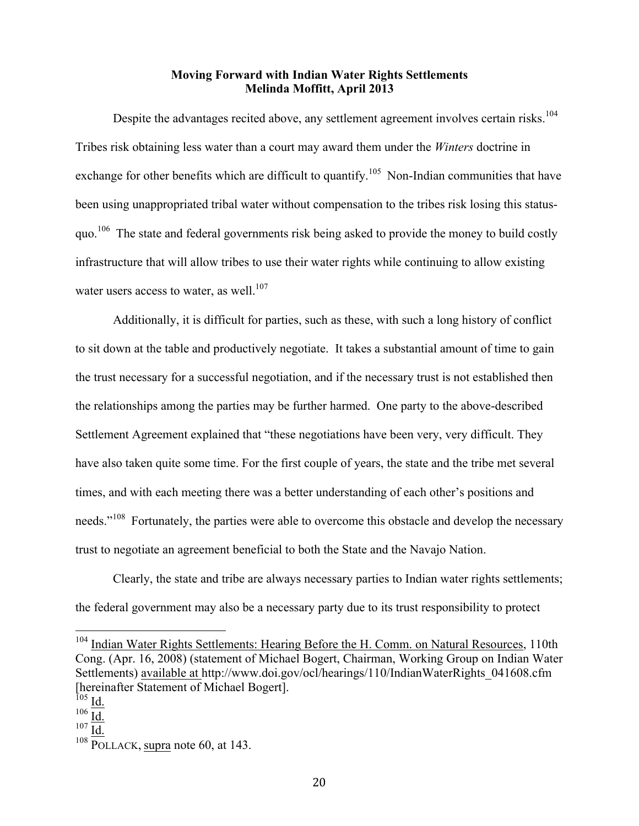Despite the advantages recited above, any settlement agreement involves certain risks.<sup>104</sup> Tribes risk obtaining less water than a court may award them under the *Winters* doctrine in exchange for other benefits which are difficult to quantify.<sup>105</sup> Non-Indian communities that have been using unappropriated tribal water without compensation to the tribes risk losing this statusquo.<sup>106</sup> The state and federal governments risk being asked to provide the money to build costly infrastructure that will allow tribes to use their water rights while continuing to allow existing water users access to water, as well. $107$ 

Additionally, it is difficult for parties, such as these, with such a long history of conflict to sit down at the table and productively negotiate. It takes a substantial amount of time to gain the trust necessary for a successful negotiation, and if the necessary trust is not established then the relationships among the parties may be further harmed. One party to the above-described Settlement Agreement explained that "these negotiations have been very, very difficult. They have also taken quite some time. For the first couple of years, the state and the tribe met several times, and with each meeting there was a better understanding of each other's positions and needs."<sup>108</sup> Fortunately, the parties were able to overcome this obstacle and develop the necessary trust to negotiate an agreement beneficial to both the State and the Navajo Nation.

Clearly, the state and tribe are always necessary parties to Indian water rights settlements; the federal government may also be a necessary party due to its trust responsibility to protect

<sup>&</sup>lt;sup>104</sup> Indian Water Rights Settlements: Hearing Before the H. Comm. on Natural Resources, 110th Cong. (Apr. 16, 2008) (statement of Michael Bogert, Chairman, Working Group on Indian Water Settlements) available at http://www.doi.gov/ocl/hearings/110/IndianWaterRights\_041608.cfm [hereinafter Statement of Michael Bogert].

 $^{105}$  Id.

 $106 \overline{\underline{Id.}}$ 

 $107 \overline{Id}$ .

 $108 \overline{POLLACK}$ , supra note 60, at 143.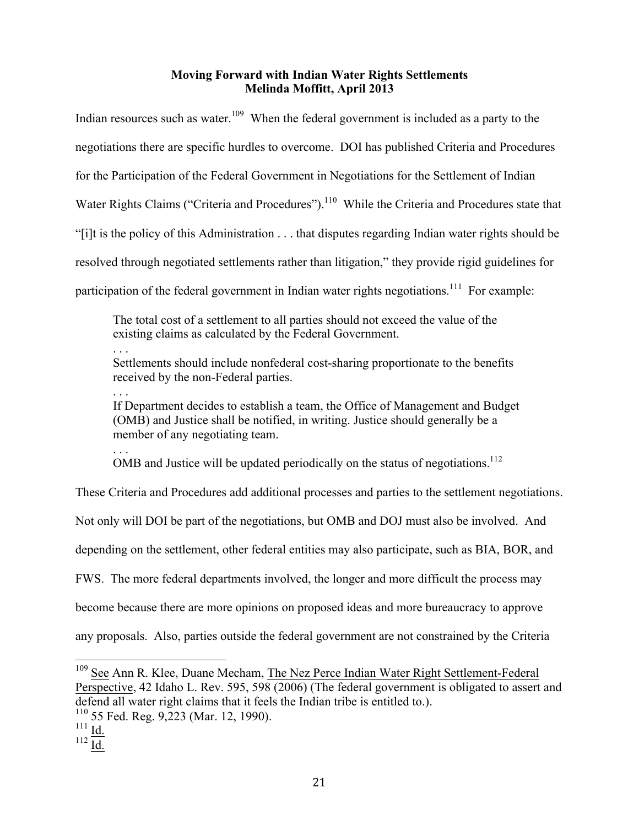Indian resources such as water.<sup>109</sup> When the federal government is included as a party to the negotiations there are specific hurdles to overcome. DOI has published Criteria and Procedures for the Participation of the Federal Government in Negotiations for the Settlement of Indian Water Rights Claims ("Criteria and Procedures").<sup>110</sup> While the Criteria and Procedures state that "[i]t is the policy of this Administration . . . that disputes regarding Indian water rights should be resolved through negotiated settlements rather than litigation," they provide rigid guidelines for participation of the federal government in Indian water rights negotiations.<sup>111</sup> For example:

The total cost of a settlement to all parties should not exceed the value of the existing claims as calculated by the Federal Government.

. . . Settlements should include nonfederal cost-sharing proportionate to the benefits received by the non-Federal parties.

. . . If Department decides to establish a team, the Office of Management and Budget (OMB) and Justice shall be notified, in writing. Justice should generally be a member of any negotiating team.

. . . OMB and Justice will be updated periodically on the status of negotiations.<sup>112</sup>

These Criteria and Procedures add additional processes and parties to the settlement negotiations.

Not only will DOI be part of the negotiations, but OMB and DOJ must also be involved. And

depending on the settlement, other federal entities may also participate, such as BIA, BOR, and

FWS. The more federal departments involved, the longer and more difficult the process may

become because there are more opinions on proposed ideas and more bureaucracy to approve

any proposals. Also, parties outside the federal government are not constrained by the Criteria

<sup>&</sup>lt;sup>109</sup> See Ann R. Klee, Duane Mecham, The Nez Perce Indian Water Right Settlement-Federal Perspective, 42 Idaho L. Rev. 595, 598 (2006) (The federal government is obligated to assert and defend all water right claims that it feels the Indian tribe is entitled to.).

 $110$  55 Fed. Reg. 9,223 (Mar. 12, 1990).

 $^{111}$  Id.

<sup>112</sup>  $\overline{\underline{Id}}$ .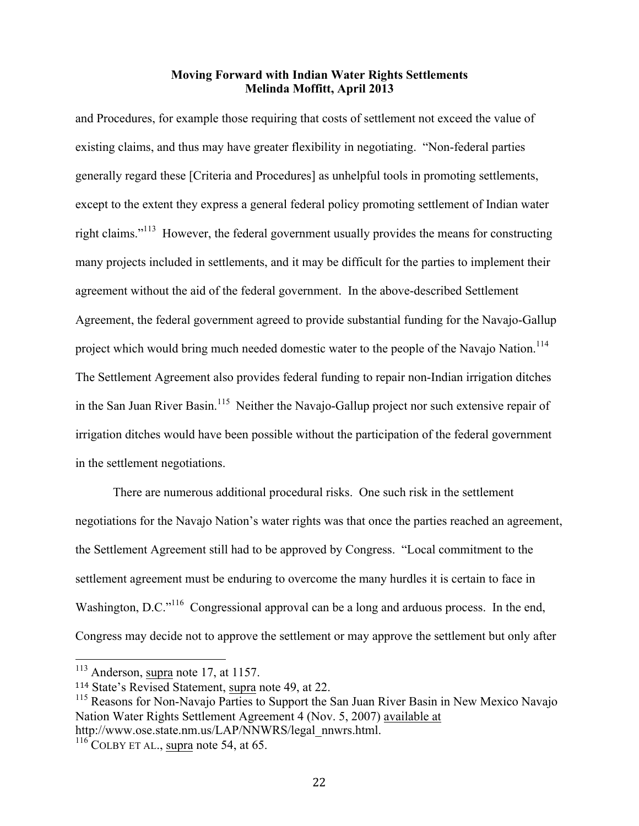and Procedures, for example those requiring that costs of settlement not exceed the value of existing claims, and thus may have greater flexibility in negotiating. "Non-federal parties generally regard these [Criteria and Procedures] as unhelpful tools in promoting settlements, except to the extent they express a general federal policy promoting settlement of Indian water right claims."113 However, the federal government usually provides the means for constructing many projects included in settlements, and it may be difficult for the parties to implement their agreement without the aid of the federal government. In the above-described Settlement Agreement, the federal government agreed to provide substantial funding for the Navajo-Gallup project which would bring much needed domestic water to the people of the Navajo Nation.<sup>114</sup> The Settlement Agreement also provides federal funding to repair non-Indian irrigation ditches in the San Juan River Basin.<sup>115</sup> Neither the Navajo-Gallup project nor such extensive repair of irrigation ditches would have been possible without the participation of the federal government in the settlement negotiations.

There are numerous additional procedural risks. One such risk in the settlement negotiations for the Navajo Nation's water rights was that once the parties reached an agreement, the Settlement Agreement still had to be approved by Congress. "Local commitment to the settlement agreement must be enduring to overcome the many hurdles it is certain to face in Washington, D.C.<sup>"116</sup> Congressional approval can be a long and arduous process. In the end, Congress may decide not to approve the settlement or may approve the settlement but only after

 $113$  Anderson, supra note 17, at 1157.

<sup>&</sup>lt;sup>114</sup> State's Revised Statement, supra note 49, at 22.<br><sup>115</sup> Reasons for Non-Navajo Parties to Support the San Juan River Basin in New Mexico Navajo Nation Water Rights Settlement Agreement 4 (Nov. 5, 2007) available at http://www.ose.state.nm.us/LAP/NNWRS/legal\_nnwrs.html.

 $116$  COLBY ET AL., supra note 54, at 65.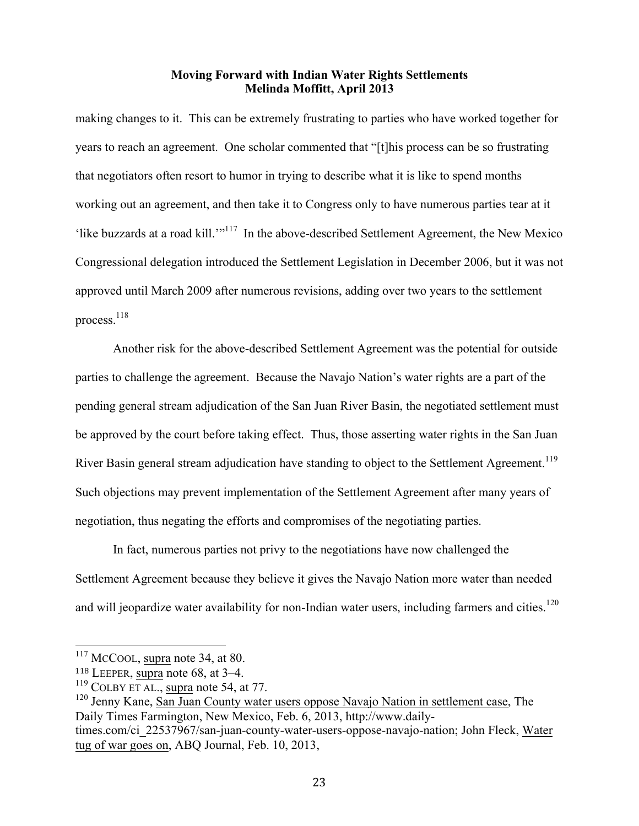making changes to it. This can be extremely frustrating to parties who have worked together for years to reach an agreement. One scholar commented that "[t]his process can be so frustrating that negotiators often resort to humor in trying to describe what it is like to spend months working out an agreement, and then take it to Congress only to have numerous parties tear at it 'like buzzards at a road kill.'"117 In the above-described Settlement Agreement, the New Mexico Congressional delegation introduced the Settlement Legislation in December 2006, but it was not approved until March 2009 after numerous revisions, adding over two years to the settlement process.118

Another risk for the above-described Settlement Agreement was the potential for outside parties to challenge the agreement. Because the Navajo Nation's water rights are a part of the pending general stream adjudication of the San Juan River Basin, the negotiated settlement must be approved by the court before taking effect. Thus, those asserting water rights in the San Juan River Basin general stream adjudication have standing to object to the Settlement Agreement.<sup>119</sup> Such objections may prevent implementation of the Settlement Agreement after many years of negotiation, thus negating the efforts and compromises of the negotiating parties.

In fact, numerous parties not privy to the negotiations have now challenged the Settlement Agreement because they believe it gives the Navajo Nation more water than needed and will jeopardize water availability for non-Indian water users, including farmers and cities.<sup>120</sup>

<sup>&</sup>lt;sup>117</sup> McCool, supra note 34, at 80.

<sup>118</sup> LEEPER, supra note 68, at 3–4.

 $119$  COLBY ET AL., supra note 54, at 77.

<sup>&</sup>lt;sup>120</sup> Jenny Kane, San Juan County water users oppose Navajo Nation in settlement case, The Daily Times Farmington, New Mexico, Feb. 6, 2013, http://www.daily-

times.com/ci\_22537967/san-juan-county-water-users-oppose-navajo-nation; John Fleck, Water tug of war goes on, ABQ Journal, Feb. 10, 2013,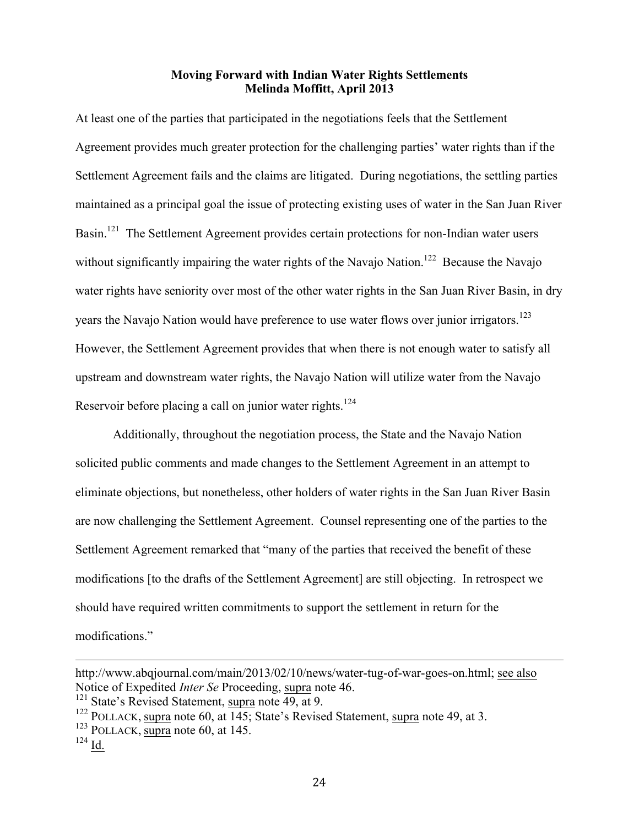At least one of the parties that participated in the negotiations feels that the Settlement Agreement provides much greater protection for the challenging parties' water rights than if the Settlement Agreement fails and the claims are litigated. During negotiations, the settling parties maintained as a principal goal the issue of protecting existing uses of water in the San Juan River Basin.<sup>121</sup> The Settlement Agreement provides certain protections for non-Indian water users without significantly impairing the water rights of the Navajo Nation.<sup>122</sup> Because the Navajo water rights have seniority over most of the other water rights in the San Juan River Basin, in dry years the Navajo Nation would have preference to use water flows over junior irrigators.<sup>123</sup> However, the Settlement Agreement provides that when there is not enough water to satisfy all upstream and downstream water rights, the Navajo Nation will utilize water from the Navajo Reservoir before placing a call on junior water rights.<sup>124</sup>

Additionally, throughout the negotiation process, the State and the Navajo Nation solicited public comments and made changes to the Settlement Agreement in an attempt to eliminate objections, but nonetheless, other holders of water rights in the San Juan River Basin are now challenging the Settlement Agreement. Counsel representing one of the parties to the Settlement Agreement remarked that "many of the parties that received the benefit of these modifications [to the drafts of the Settlement Agreement] are still objecting. In retrospect we should have required written commitments to support the settlement in return for the modifications."

<u> Alexandro de la contrada de la contrada de la contrada de la contrada de la contrada de la contrada de la co</u>

http://www.abqjournal.com/main/2013/02/10/news/water-tug-of-war-goes-on.html; see also Notice of Expedited *Inter Se* Proceeding, supra note 46.<br><sup>121</sup> State's Revised Statement, supra note 49, at 9.

<sup>122</sup> POLLACK, supra note 60, at 145; State's Revised Statement, supra note 49, at 3.

 $123$  POLLACK, supra note 60, at 145.

 $^{124}$  Id.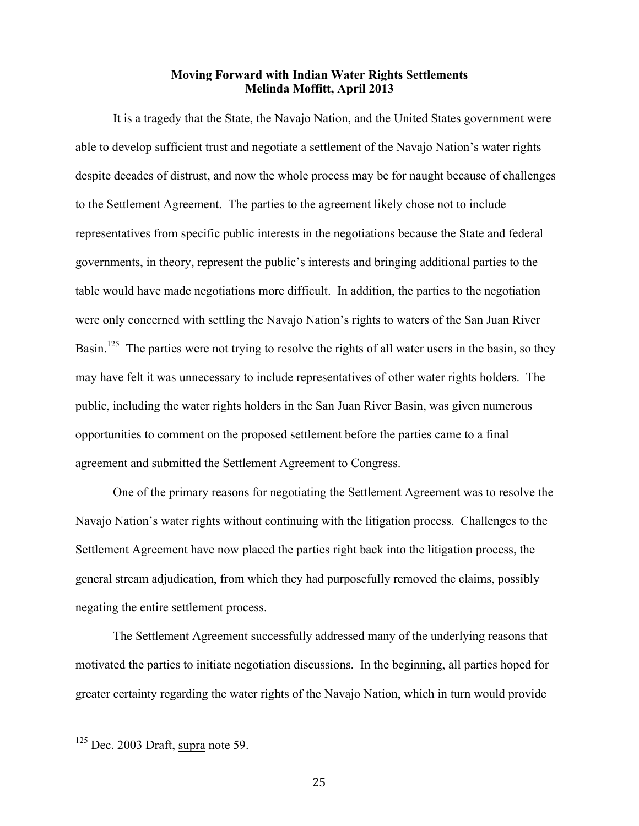It is a tragedy that the State, the Navajo Nation, and the United States government were able to develop sufficient trust and negotiate a settlement of the Navajo Nation's water rights despite decades of distrust, and now the whole process may be for naught because of challenges to the Settlement Agreement. The parties to the agreement likely chose not to include representatives from specific public interests in the negotiations because the State and federal governments, in theory, represent the public's interests and bringing additional parties to the table would have made negotiations more difficult. In addition, the parties to the negotiation were only concerned with settling the Navajo Nation's rights to waters of the San Juan River Basin.<sup>125</sup> The parties were not trying to resolve the rights of all water users in the basin, so they may have felt it was unnecessary to include representatives of other water rights holders. The public, including the water rights holders in the San Juan River Basin, was given numerous opportunities to comment on the proposed settlement before the parties came to a final agreement and submitted the Settlement Agreement to Congress.

One of the primary reasons for negotiating the Settlement Agreement was to resolve the Navajo Nation's water rights without continuing with the litigation process. Challenges to the Settlement Agreement have now placed the parties right back into the litigation process, the general stream adjudication, from which they had purposefully removed the claims, possibly negating the entire settlement process.

The Settlement Agreement successfully addressed many of the underlying reasons that motivated the parties to initiate negotiation discussions. In the beginning, all parties hoped for greater certainty regarding the water rights of the Navajo Nation, which in turn would provide

 $125$  Dec. 2003 Draft, supra note 59.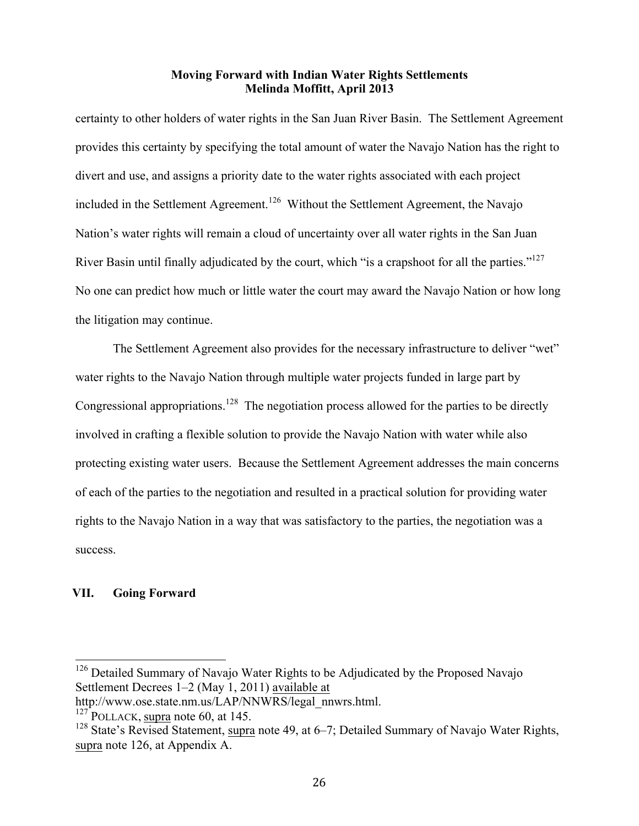certainty to other holders of water rights in the San Juan River Basin. The Settlement Agreement provides this certainty by specifying the total amount of water the Navajo Nation has the right to divert and use, and assigns a priority date to the water rights associated with each project included in the Settlement Agreement.<sup>126</sup> Without the Settlement Agreement, the Navajo Nation's water rights will remain a cloud of uncertainty over all water rights in the San Juan River Basin until finally adjudicated by the court, which "is a crapshoot for all the parties."<sup>127</sup> No one can predict how much or little water the court may award the Navajo Nation or how long the litigation may continue.

The Settlement Agreement also provides for the necessary infrastructure to deliver "wet" water rights to the Navajo Nation through multiple water projects funded in large part by Congressional appropriations.<sup>128</sup> The negotiation process allowed for the parties to be directly involved in crafting a flexible solution to provide the Navajo Nation with water while also protecting existing water users. Because the Settlement Agreement addresses the main concerns of each of the parties to the negotiation and resulted in a practical solution for providing water rights to the Navajo Nation in a way that was satisfactory to the parties, the negotiation was a success.

### **VII. Going Forward**

<sup>&</sup>lt;sup>126</sup> Detailed Summary of Navajo Water Rights to be Adjudicated by the Proposed Navajo Settlement Decrees 1–2 (May 1, 2011) available at

http://www.ose.state.nm.us/LAP/NNWRS/legal\_nnwrs.html.

 $127$  POLLACK, supra note 60, at 145.

 $128$  State's Revised Statement, supra note 49, at 6–7; Detailed Summary of Navajo Water Rights, supra note 126, at Appendix A.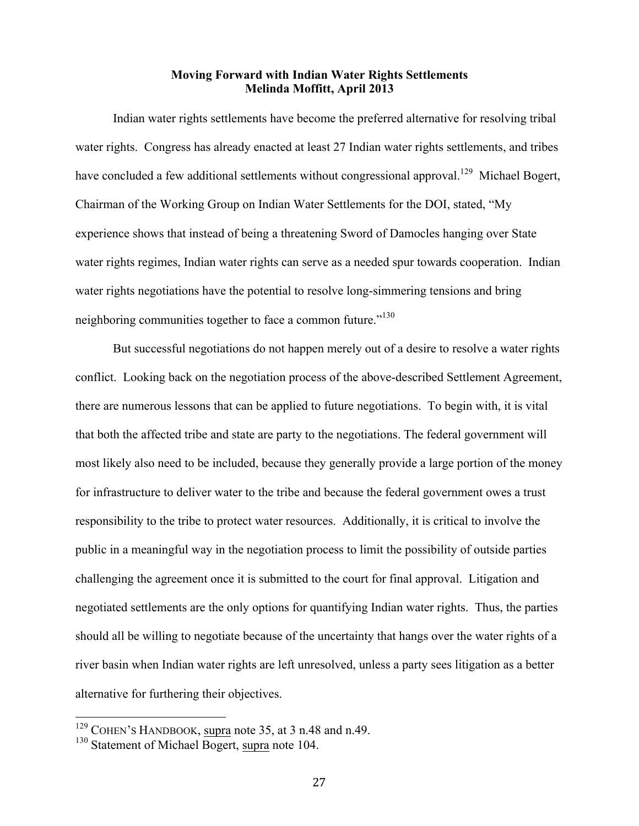Indian water rights settlements have become the preferred alternative for resolving tribal water rights. Congress has already enacted at least 27 Indian water rights settlements, and tribes have concluded a few additional settlements without congressional approval.<sup>129</sup> Michael Bogert, Chairman of the Working Group on Indian Water Settlements for the DOI, stated, "My experience shows that instead of being a threatening Sword of Damocles hanging over State water rights regimes, Indian water rights can serve as a needed spur towards cooperation. Indian water rights negotiations have the potential to resolve long-simmering tensions and bring neighboring communities together to face a common future."<sup>130</sup>

But successful negotiations do not happen merely out of a desire to resolve a water rights conflict. Looking back on the negotiation process of the above-described Settlement Agreement, there are numerous lessons that can be applied to future negotiations. To begin with, it is vital that both the affected tribe and state are party to the negotiations. The federal government will most likely also need to be included, because they generally provide a large portion of the money for infrastructure to deliver water to the tribe and because the federal government owes a trust responsibility to the tribe to protect water resources. Additionally, it is critical to involve the public in a meaningful way in the negotiation process to limit the possibility of outside parties challenging the agreement once it is submitted to the court for final approval. Litigation and negotiated settlements are the only options for quantifying Indian water rights. Thus, the parties should all be willing to negotiate because of the uncertainty that hangs over the water rights of a river basin when Indian water rights are left unresolved, unless a party sees litigation as a better alternative for furthering their objectives.

 <sup>129</sup> COHEN'S HANDBOOK, supra note 35, at 3 n.48 and n.49.

<sup>&</sup>lt;sup>130</sup> Statement of Michael Bogert, supra note 104.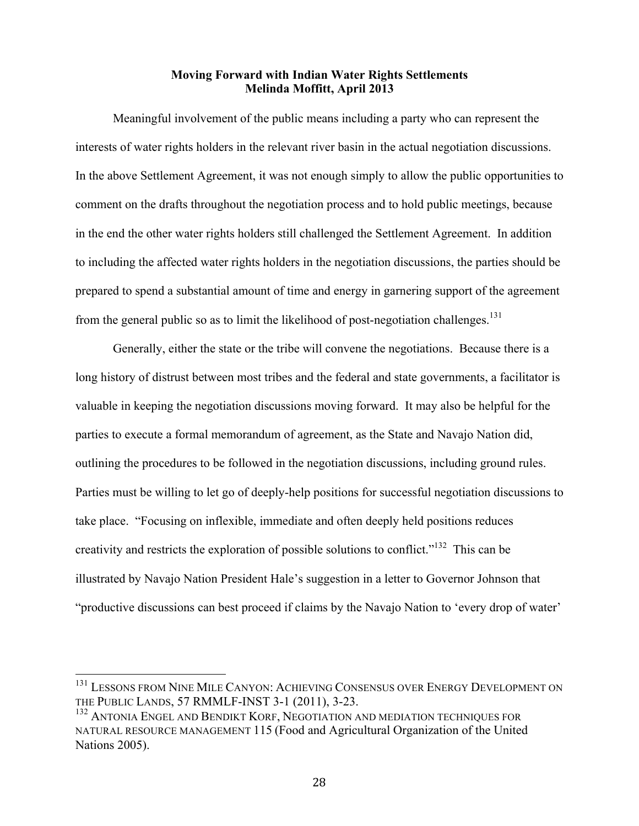Meaningful involvement of the public means including a party who can represent the interests of water rights holders in the relevant river basin in the actual negotiation discussions. In the above Settlement Agreement, it was not enough simply to allow the public opportunities to comment on the drafts throughout the negotiation process and to hold public meetings, because in the end the other water rights holders still challenged the Settlement Agreement. In addition to including the affected water rights holders in the negotiation discussions, the parties should be prepared to spend a substantial amount of time and energy in garnering support of the agreement from the general public so as to limit the likelihood of post-negotiation challenges.<sup>131</sup>

Generally, either the state or the tribe will convene the negotiations. Because there is a long history of distrust between most tribes and the federal and state governments, a facilitator is valuable in keeping the negotiation discussions moving forward. It may also be helpful for the parties to execute a formal memorandum of agreement, as the State and Navajo Nation did, outlining the procedures to be followed in the negotiation discussions, including ground rules. Parties must be willing to let go of deeply-help positions for successful negotiation discussions to take place. "Focusing on inflexible, immediate and often deeply held positions reduces creativity and restricts the exploration of possible solutions to conflict."132 This can be illustrated by Navajo Nation President Hale's suggestion in a letter to Governor Johnson that "productive discussions can best proceed if claims by the Navajo Nation to 'every drop of water'

<sup>&</sup>lt;sup>131</sup> LESSONS FROM NINE MILE CANYON: ACHIEVING CONSENSUS OVER ENERGY DEVELOPMENT ON THE PUBLIC LANDS, 57 RMMLF-INST 3-1 (2011), 3-23.

<sup>&</sup>lt;sup>132</sup> ANTONIA ENGEL AND BENDIKT KORF, NEGOTIATION AND MEDIATION TECHNIQUES FOR NATURAL RESOURCE MANAGEMENT 115 (Food and Agricultural Organization of the United Nations 2005).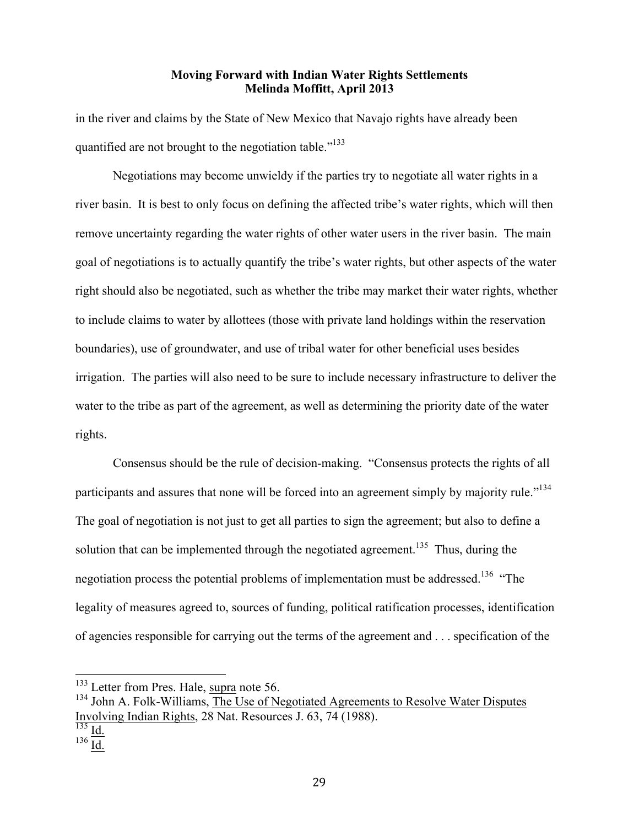in the river and claims by the State of New Mexico that Navajo rights have already been quantified are not brought to the negotiation table."<sup>133</sup>

Negotiations may become unwieldy if the parties try to negotiate all water rights in a river basin. It is best to only focus on defining the affected tribe's water rights, which will then remove uncertainty regarding the water rights of other water users in the river basin. The main goal of negotiations is to actually quantify the tribe's water rights, but other aspects of the water right should also be negotiated, such as whether the tribe may market their water rights, whether to include claims to water by allottees (those with private land holdings within the reservation boundaries), use of groundwater, and use of tribal water for other beneficial uses besides irrigation. The parties will also need to be sure to include necessary infrastructure to deliver the water to the tribe as part of the agreement, as well as determining the priority date of the water rights.

Consensus should be the rule of decision-making. "Consensus protects the rights of all participants and assures that none will be forced into an agreement simply by majority rule."<sup>134</sup> The goal of negotiation is not just to get all parties to sign the agreement; but also to define a solution that can be implemented through the negotiated agreement.<sup>135</sup> Thus, during the negotiation process the potential problems of implementation must be addressed.<sup>136</sup> "The legality of measures agreed to, sources of funding, political ratification processes, identification of agencies responsible for carrying out the terms of the agreement and . . . specification of the

 $\frac{136}{\underline{\text{Id.}}}$ 

 $133$  Letter from Pres. Hale, supra note 56.  $134$  John A. Folk-Williams, The Use of Negotiated Agreements to Resolve Water Disputes Involving Indian Rights, 28 Nat. Resources J. 63, 74 (1988).

 $\overline{\frac{135}{135}}$  Id.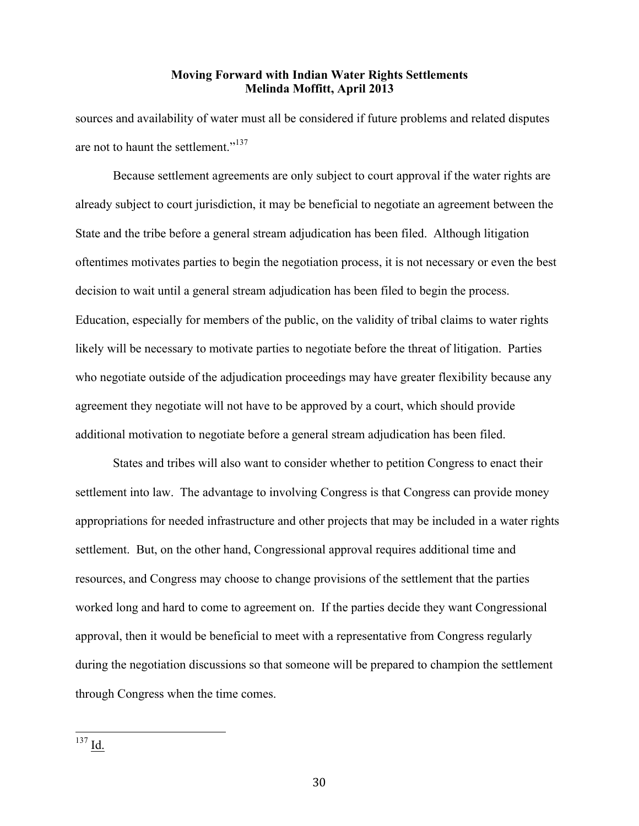sources and availability of water must all be considered if future problems and related disputes are not to haunt the settlement."<sup>137</sup>

Because settlement agreements are only subject to court approval if the water rights are already subject to court jurisdiction, it may be beneficial to negotiate an agreement between the State and the tribe before a general stream adjudication has been filed. Although litigation oftentimes motivates parties to begin the negotiation process, it is not necessary or even the best decision to wait until a general stream adjudication has been filed to begin the process. Education, especially for members of the public, on the validity of tribal claims to water rights likely will be necessary to motivate parties to negotiate before the threat of litigation. Parties who negotiate outside of the adjudication proceedings may have greater flexibility because any agreement they negotiate will not have to be approved by a court, which should provide additional motivation to negotiate before a general stream adjudication has been filed.

States and tribes will also want to consider whether to petition Congress to enact their settlement into law. The advantage to involving Congress is that Congress can provide money appropriations for needed infrastructure and other projects that may be included in a water rights settlement. But, on the other hand, Congressional approval requires additional time and resources, and Congress may choose to change provisions of the settlement that the parties worked long and hard to come to agreement on. If the parties decide they want Congressional approval, then it would be beneficial to meet with a representative from Congress regularly during the negotiation discussions so that someone will be prepared to champion the settlement through Congress when the time comes.